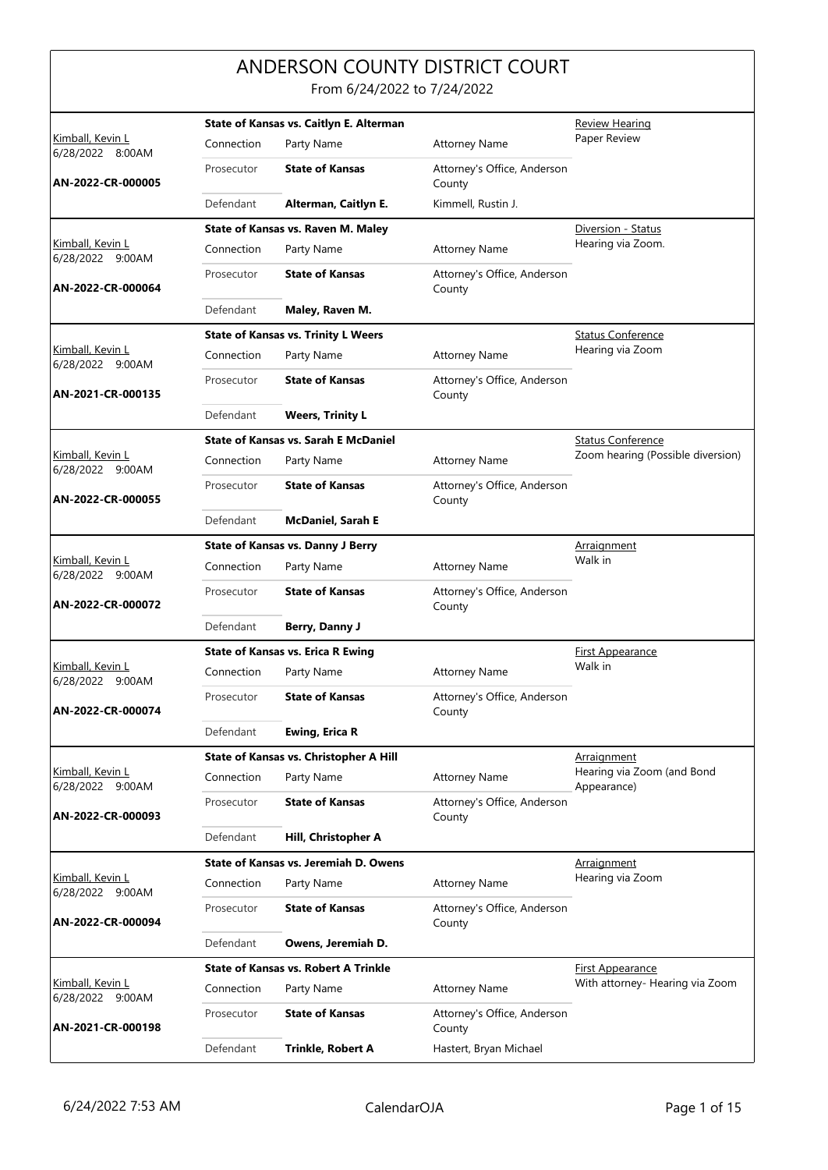## ANDERSON COUNTY DISTRICT COURT

From 6/24/2022 to 7/24/2022

|                                      |            | State of Kansas vs. Caitlyn E. Alterman       |                                       | <b>Review Hearing</b>                     |
|--------------------------------------|------------|-----------------------------------------------|---------------------------------------|-------------------------------------------|
| Kimball, Kevin L<br>6/28/2022 8:00AM | Connection | Party Name                                    | Attorney Name                         | Paper Review                              |
| AN-2022-CR-000005                    | Prosecutor | <b>State of Kansas</b>                        | Attorney's Office, Anderson<br>County |                                           |
|                                      | Defendant  | Alterman, Caitlyn E.                          | Kimmell, Rustin J.                    |                                           |
|                                      |            | State of Kansas vs. Raven M. Maley            |                                       | Diversion - Status                        |
| Kimball, Kevin L<br>6/28/2022 9:00AM | Connection | Party Name                                    | Attorney Name                         | Hearing via Zoom.                         |
| AN-2022-CR-000064                    | Prosecutor | <b>State of Kansas</b>                        | Attorney's Office, Anderson<br>County |                                           |
|                                      | Defendant  | Maley, Raven M.                               |                                       |                                           |
|                                      |            | <b>State of Kansas vs. Trinity L Weers</b>    |                                       | <b>Status Conference</b>                  |
| Kimball, Kevin L<br>6/28/2022 9:00AM | Connection | Party Name                                    | <b>Attorney Name</b>                  | Hearing via Zoom                          |
| AN-2021-CR-000135                    | Prosecutor | <b>State of Kansas</b>                        | Attorney's Office, Anderson<br>County |                                           |
|                                      | Defendant  | <b>Weers, Trinity L</b>                       |                                       |                                           |
|                                      |            | <b>State of Kansas vs. Sarah E McDaniel</b>   |                                       | <b>Status Conference</b>                  |
| Kimball, Kevin L<br>6/28/2022 9:00AM | Connection | Party Name                                    | <b>Attorney Name</b>                  | Zoom hearing (Possible diversion)         |
| AN-2022-CR-000055                    | Prosecutor | <b>State of Kansas</b>                        | Attorney's Office, Anderson<br>County |                                           |
|                                      | Defendant  | <b>McDaniel, Sarah E</b>                      |                                       |                                           |
|                                      |            | <b>State of Kansas vs. Danny J Berry</b>      |                                       | <b>Arraignment</b>                        |
| Kimball, Kevin L<br>6/28/2022 9:00AM | Connection | Party Name                                    | <b>Attorney Name</b>                  | Walk in                                   |
| AN-2022-CR-000072                    | Prosecutor | <b>State of Kansas</b>                        | Attorney's Office, Anderson<br>County |                                           |
|                                      | Defendant  | Berry, Danny J                                |                                       |                                           |
|                                      |            | <b>State of Kansas vs. Erica R Ewing</b>      |                                       | <b>First Appearance</b>                   |
| Kimball, Kevin L<br>6/28/2022 9:00AM | Connection | Party Name                                    | <b>Attorney Name</b>                  | Walk in                                   |
| AN-2022-CR-000074                    | Prosecutor | <b>State of Kansas</b>                        | Attorney's Office, Anderson<br>County |                                           |
|                                      | Defendant  | <b>Ewing, Erica R</b>                         |                                       |                                           |
|                                      |            | <b>State of Kansas vs. Christopher A Hill</b> |                                       | Arraignment                               |
| Kimball, Kevin L<br>6/28/2022 9:00AM | Connection | Party Name                                    | <b>Attorney Name</b>                  | Hearing via Zoom (and Bond<br>Appearance) |
| AN-2022-CR-000093                    | Prosecutor | <b>State of Kansas</b>                        | Attorney's Office, Anderson<br>County |                                           |
|                                      | Defendant  | Hill, Christopher A                           |                                       |                                           |
|                                      |            | State of Kansas vs. Jeremiah D. Owens         |                                       | <b>Arraignment</b>                        |
| Kimball, Kevin L<br>6/28/2022 9:00AM | Connection | Party Name                                    | <b>Attorney Name</b>                  | Hearing via Zoom                          |
| AN-2022-CR-000094                    | Prosecutor | <b>State of Kansas</b>                        | Attorney's Office, Anderson<br>County |                                           |
|                                      | Defendant  | Owens, Jeremiah D.                            |                                       |                                           |
|                                      |            | <b>State of Kansas vs. Robert A Trinkle</b>   |                                       | <b>First Appearance</b>                   |
| Kimball, Kevin L<br>6/28/2022 9:00AM | Connection | Party Name                                    | <b>Attorney Name</b>                  | With attorney- Hearing via Zoom           |
| AN-2021-CR-000198                    | Prosecutor | <b>State of Kansas</b>                        | Attorney's Office, Anderson<br>County |                                           |
|                                      | Defendant  | Trinkle, Robert A                             | Hastert, Bryan Michael                |                                           |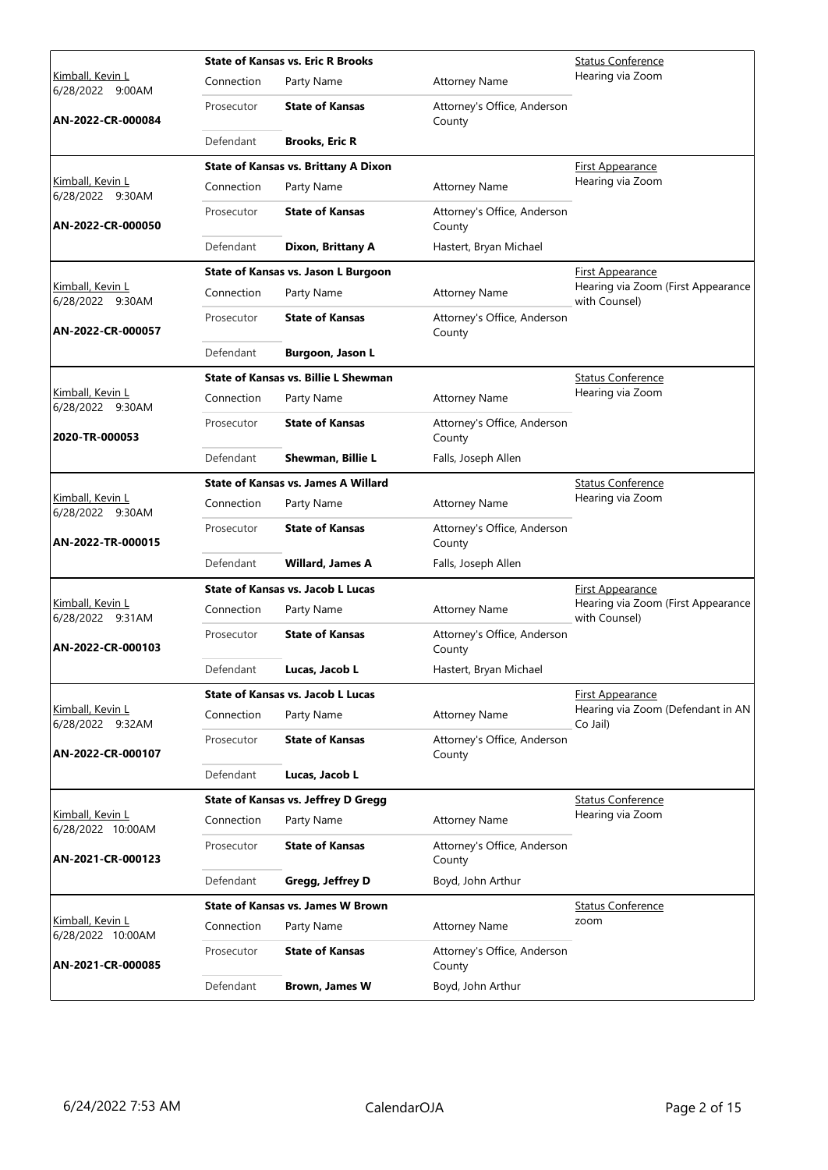|                                             |            | <b>State of Kansas vs. Eric R Brooks</b>    | <b>Status Conference</b>              |                                                     |
|---------------------------------------------|------------|---------------------------------------------|---------------------------------------|-----------------------------------------------------|
| <u>Kimball, Kevin L</u><br>6/28/2022 9:00AM | Connection | Party Name                                  | <b>Attorney Name</b>                  | Hearing via Zoom                                    |
| AN-2022-CR-000084                           | Prosecutor | <b>State of Kansas</b>                      | Attorney's Office, Anderson<br>County |                                                     |
|                                             | Defendant  | <b>Brooks, Eric R</b>                       |                                       |                                                     |
|                                             |            | <b>State of Kansas vs. Brittany A Dixon</b> |                                       | First Appearance                                    |
| Kimball, Kevin L<br>6/28/2022 9:30AM        | Connection | Party Name                                  | <b>Attorney Name</b>                  | Hearing via Zoom                                    |
| AN-2022-CR-000050                           | Prosecutor | <b>State of Kansas</b>                      | Attorney's Office, Anderson<br>County |                                                     |
|                                             | Defendant  | Dixon, Brittany A                           | Hastert, Bryan Michael                |                                                     |
|                                             |            | State of Kansas vs. Jason L Burgoon         |                                       | <b>First Appearance</b>                             |
| Kimball, Kevin L<br>6/28/2022 9:30AM        | Connection | Party Name                                  | <b>Attorney Name</b>                  | Hearing via Zoom (First Appearance<br>with Counsel) |
| AN-2022-CR-000057                           | Prosecutor | <b>State of Kansas</b>                      | Attorney's Office, Anderson<br>County |                                                     |
|                                             | Defendant  | Burgoon, Jason L                            |                                       |                                                     |
|                                             |            | State of Kansas vs. Billie L Shewman        |                                       | Status Conference                                   |
| <u>Kimball, Kevin L</u><br>6/28/2022 9:30AM | Connection | Party Name                                  | <b>Attorney Name</b>                  | Hearing via Zoom                                    |
| 2020-TR-000053                              | Prosecutor | <b>State of Kansas</b>                      | Attorney's Office, Anderson<br>County |                                                     |
|                                             | Defendant  | Shewman, Billie L                           | Falls, Joseph Allen                   |                                                     |
|                                             |            | <b>State of Kansas vs. James A Willard</b>  |                                       | <b>Status Conference</b>                            |
| Kimball, Kevin L<br>6/28/2022 9:30AM        | Connection | Party Name                                  | <b>Attorney Name</b>                  | Hearing via Zoom                                    |
| AN-2022-TR-000015                           | Prosecutor | <b>State of Kansas</b>                      | Attorney's Office, Anderson<br>County |                                                     |
|                                             | Defendant  | <b>Willard, James A</b>                     | Falls, Joseph Allen                   |                                                     |
|                                             |            | State of Kansas vs. Jacob L Lucas           | <b>First Appearance</b>               |                                                     |
| Kimball, Kevin L<br>6/28/2022 9:31AM        | Connection | Party Name                                  | <b>Attorney Name</b>                  | Hearing via Zoom (First Appearance<br>with Counsel) |
| AN-2022-CR-000103                           | Prosecutor | <b>State of Kansas</b>                      | Attorney's Office, Anderson<br>County |                                                     |
|                                             | Defendant  | Lucas, Jacob L                              | Hastert, Bryan Michael                |                                                     |
|                                             |            | <b>State of Kansas vs. Jacob L Lucas</b>    |                                       | First Appearance                                    |
| Kimball, Kevin L<br>6/28/2022 9:32AM        | Connection | Party Name                                  | <b>Attorney Name</b>                  | Hearing via Zoom (Defendant in AN<br>Co Jail)       |
| AN-2022-CR-000107                           | Prosecutor | <b>State of Kansas</b>                      | Attorney's Office, Anderson<br>County |                                                     |
|                                             | Defendant  | Lucas, Jacob L                              |                                       |                                                     |
|                                             |            | <b>State of Kansas vs. Jeffrey D Gregg</b>  |                                       | <b>Status Conference</b>                            |
| Kimball, Kevin L<br>6/28/2022 10:00AM       | Connection | Party Name                                  | <b>Attorney Name</b>                  | Hearing via Zoom                                    |
| AN-2021-CR-000123                           | Prosecutor | <b>State of Kansas</b>                      | Attorney's Office, Anderson<br>County |                                                     |
|                                             | Defendant  | Gregg, Jeffrey D                            | Boyd, John Arthur                     |                                                     |
|                                             |            | <b>State of Kansas vs. James W Brown</b>    |                                       | <b>Status Conference</b>                            |
| Kimball, Kevin L<br>6/28/2022 10:00AM       | Connection | Party Name                                  | <b>Attorney Name</b>                  | zoom                                                |
| AN-2021-CR-000085                           | Prosecutor | <b>State of Kansas</b>                      | Attorney's Office, Anderson<br>County |                                                     |
|                                             | Defendant  | <b>Brown, James W</b>                       | Boyd, John Arthur                     |                                                     |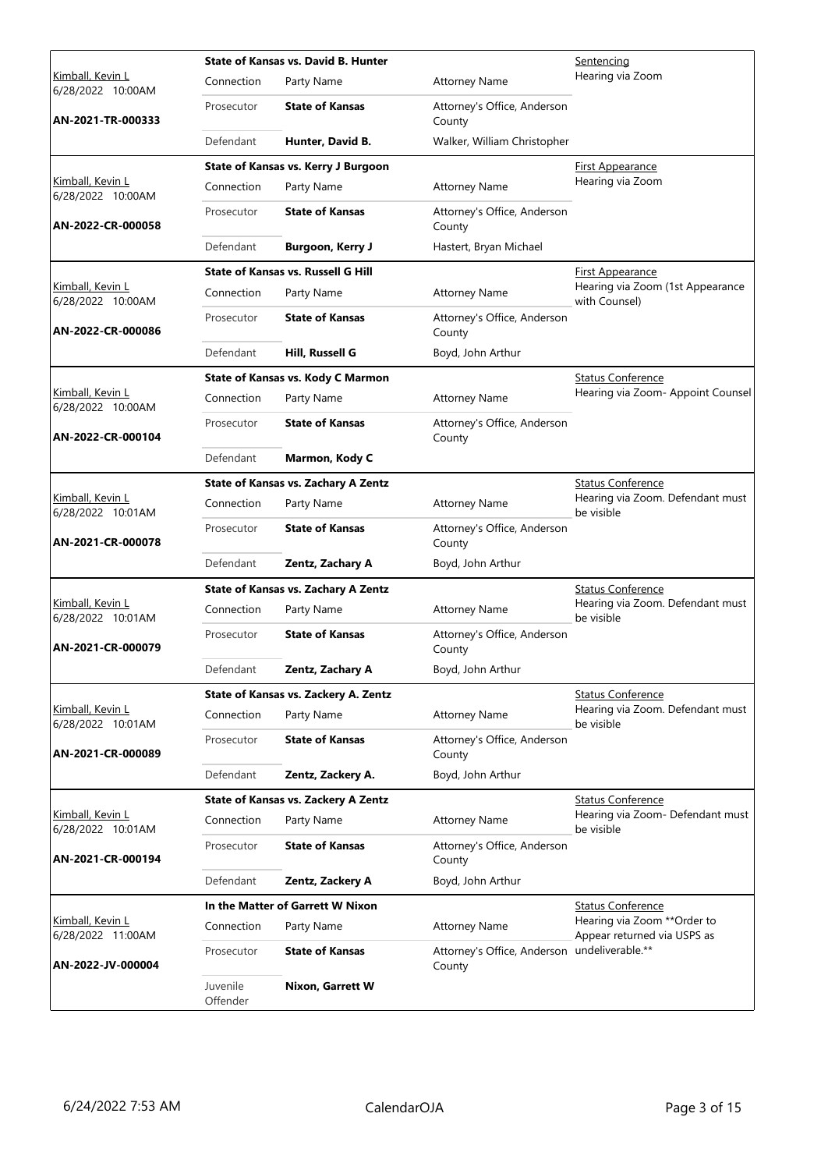|                                                            | <b>State of Kansas vs. David B. Hunter</b> |                                            |                                                        | Sentencing                                                 |
|------------------------------------------------------------|--------------------------------------------|--------------------------------------------|--------------------------------------------------------|------------------------------------------------------------|
| <u>Kimball, Kevin L</u><br>6/28/2022 10:00AM               | Connection                                 | Party Name                                 | <b>Attorney Name</b>                                   | Hearing via Zoom                                           |
| AN-2021-TR-000333                                          | Prosecutor                                 | <b>State of Kansas</b>                     | Attorney's Office, Anderson<br>County                  |                                                            |
|                                                            | Defendant                                  | Hunter, David B.                           | Walker, William Christopher                            |                                                            |
|                                                            |                                            | State of Kansas vs. Kerry J Burgoon        |                                                        | <b>First Appearance</b>                                    |
| Kimball, Kevin L<br>6/28/2022 10:00AM                      | Connection                                 | Party Name                                 | <b>Attorney Name</b>                                   | Hearing via Zoom                                           |
| AN-2022-CR-000058                                          | Prosecutor                                 | <b>State of Kansas</b>                     | Attorney's Office, Anderson<br>County                  |                                                            |
|                                                            | Defendant                                  | <b>Burgoon, Kerry J</b>                    | Hastert, Bryan Michael                                 |                                                            |
|                                                            |                                            | <b>State of Kansas vs. Russell G Hill</b>  |                                                        | <b>First Appearance</b>                                    |
| Kimball, Kevin L<br>6/28/2022 10:00AM                      | Connection                                 | Party Name                                 | <b>Attorney Name</b>                                   | Hearing via Zoom (1st Appearance<br>with Counsel)          |
| AN-2022-CR-000086                                          | Prosecutor                                 | <b>State of Kansas</b>                     | Attorney's Office, Anderson<br>County                  |                                                            |
|                                                            | Defendant                                  | Hill, Russell G                            | Boyd, John Arthur                                      |                                                            |
|                                                            |                                            | State of Kansas vs. Kody C Marmon          |                                                        | <b>Status Conference</b>                                   |
| <u>Kimball, Kevin L</u><br>6/28/2022 10:00AM               | Connection                                 | Party Name                                 | <b>Attorney Name</b>                                   | Hearing via Zoom- Appoint Counsel                          |
| AN-2022-CR-000104                                          | Prosecutor                                 | <b>State of Kansas</b>                     | Attorney's Office, Anderson<br>County                  |                                                            |
|                                                            | Defendant                                  | Marmon, Kody C                             |                                                        |                                                            |
|                                                            |                                            | <b>State of Kansas vs. Zachary A Zentz</b> |                                                        | <b>Status Conference</b>                                   |
| Kimball, Kevin L<br>6/28/2022 10:01AM<br>AN-2021-CR-000078 | Connection                                 | Party Name                                 | <b>Attorney Name</b>                                   | Hearing via Zoom. Defendant must<br>be visible             |
|                                                            | Prosecutor                                 | <b>State of Kansas</b>                     | Attorney's Office, Anderson<br>County                  |                                                            |
|                                                            | Defendant                                  | Zentz, Zachary A                           | Boyd, John Arthur                                      |                                                            |
|                                                            |                                            | <b>State of Kansas vs. Zachary A Zentz</b> |                                                        | <b>Status Conference</b>                                   |
| Kimball, Kevin L<br>6/28/2022 10:01AM                      | Connection                                 | Party Name                                 | <b>Attorney Name</b>                                   | Hearing via Zoom. Defendant must<br>be visible             |
| AN-2021-CR-000079                                          | Prosecutor                                 | <b>State of Kansas</b>                     | Attorney's Office, Anderson<br>County                  |                                                            |
|                                                            | Defendant                                  | Zentz, Zachary A                           | Boyd, John Arthur                                      |                                                            |
|                                                            |                                            | State of Kansas vs. Zackery A. Zentz       |                                                        | <b>Status Conference</b>                                   |
| Kimball, Kevin L<br>6/28/2022 10:01AM                      | Connection                                 | Party Name                                 | <b>Attorney Name</b>                                   | Hearing via Zoom. Defendant must<br>be visible             |
| AN-2021-CR-000089                                          | Prosecutor                                 | <b>State of Kansas</b>                     | Attorney's Office, Anderson<br>County                  |                                                            |
|                                                            | Defendant                                  | Zentz, Zackery A.                          | Boyd, John Arthur                                      |                                                            |
|                                                            |                                            | <b>State of Kansas vs. Zackery A Zentz</b> |                                                        | <b>Status Conference</b>                                   |
| Kimball, Kevin L<br>6/28/2022 10:01AM                      | Connection                                 | Party Name                                 | <b>Attorney Name</b>                                   | Hearing via Zoom- Defendant must<br>be visible             |
| AN-2021-CR-000194                                          | Prosecutor                                 | <b>State of Kansas</b>                     | Attorney's Office, Anderson<br>County                  |                                                            |
|                                                            | Defendant                                  | Zentz, Zackery A                           | Boyd, John Arthur                                      |                                                            |
|                                                            |                                            | In the Matter of Garrett W Nixon           |                                                        | <b>Status Conference</b>                                   |
| <u>Kimball, Kevin L</u><br>6/28/2022 11:00AM               | Connection                                 | Party Name                                 | <b>Attorney Name</b>                                   | Hearing via Zoom **Order to<br>Appear returned via USPS as |
| AN-2022-JV-000004                                          | Prosecutor                                 | <b>State of Kansas</b>                     | Attorney's Office, Anderson undeliverable.**<br>County |                                                            |
|                                                            | Juvenile<br>Offender                       | Nixon, Garrett W                           |                                                        |                                                            |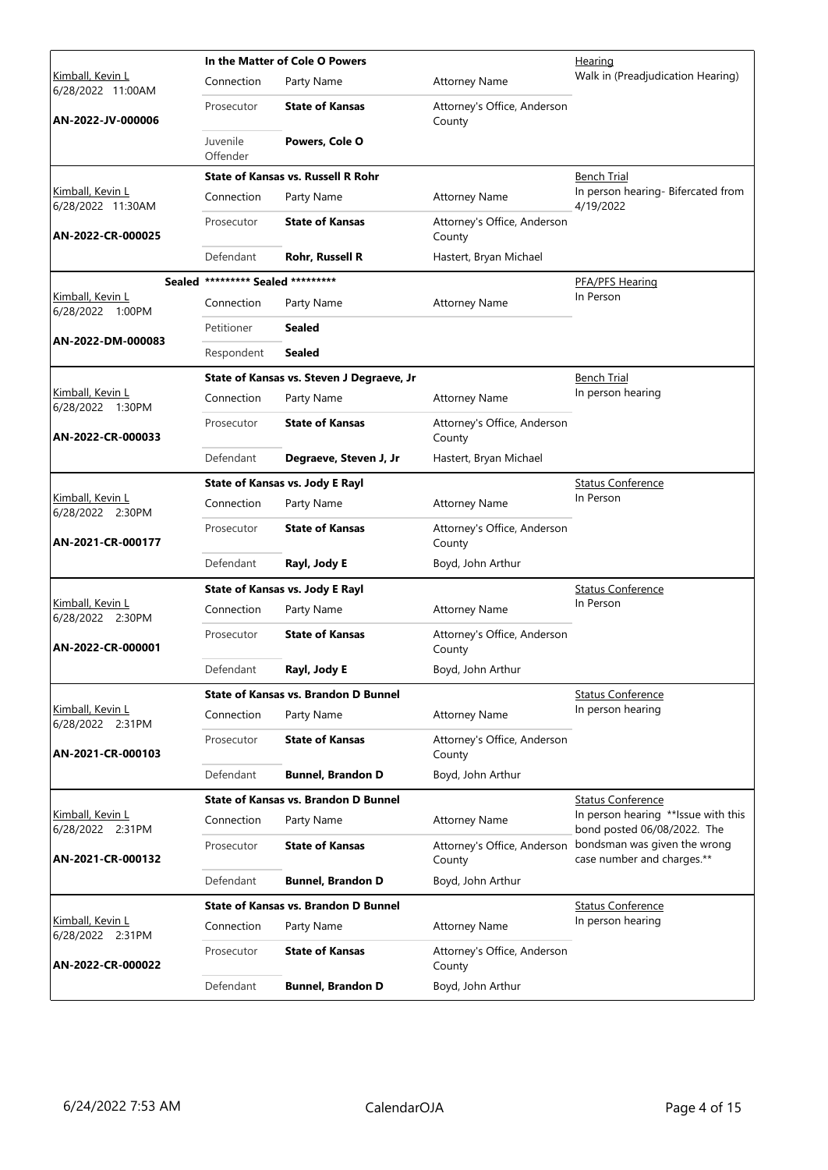|                                             | In the Matter of Cole O Powers    |                                             |                                       | <u>Hearing</u>                                                     |
|---------------------------------------------|-----------------------------------|---------------------------------------------|---------------------------------------|--------------------------------------------------------------------|
| Kimball, Kevin L<br>6/28/2022 11:00AM       | Connection                        | Party Name                                  | <b>Attorney Name</b>                  | Walk in (Preadjudication Hearing)                                  |
| AN-2022-JV-000006                           | Prosecutor                        | <b>State of Kansas</b>                      | Attorney's Office, Anderson<br>County |                                                                    |
|                                             | Juvenile<br>Offender              | Powers, Cole O                              |                                       |                                                                    |
|                                             |                                   | <b>State of Kansas vs. Russell R Rohr</b>   |                                       | <b>Bench Trial</b>                                                 |
| Kimball, Kevin L<br>6/28/2022 11:30AM       | Connection                        | Party Name                                  | <b>Attorney Name</b>                  | In person hearing- Bifercated from<br>4/19/2022                    |
| AN-2022-CR-000025                           | Prosecutor                        | <b>State of Kansas</b>                      | Attorney's Office, Anderson<br>County |                                                                    |
|                                             | Defendant                         | Rohr, Russell R                             | Hastert, Bryan Michael                |                                                                    |
|                                             | Sealed ********* Sealed ********* |                                             |                                       | PFA/PFS Hearing                                                    |
| <u>Kimball, Kevin L</u><br>6/28/2022 1:00PM | Connection                        | Party Name                                  | <b>Attorney Name</b>                  | In Person                                                          |
|                                             | Petitioner                        | Sealed                                      |                                       |                                                                    |
| AN-2022-DM-000083                           | Respondent                        | <b>Sealed</b>                               |                                       |                                                                    |
|                                             |                                   | State of Kansas vs. Steven J Degraeve, Jr   |                                       | <b>Bench Trial</b>                                                 |
| Kimball, Kevin L<br>6/28/2022 1:30PM        | Connection                        | Party Name                                  | <b>Attorney Name</b>                  | In person hearing                                                  |
| AN-2022-CR-000033                           | Prosecutor                        | <b>State of Kansas</b>                      | Attorney's Office, Anderson<br>County |                                                                    |
|                                             | Defendant                         | Degraeve, Steven J, Jr                      | Hastert, Bryan Michael                |                                                                    |
|                                             |                                   | <b>State of Kansas vs. Jody E Rayl</b>      |                                       | <b>Status Conference</b>                                           |
| Kimball, Kevin L<br>6/28/2022 2:30PM        | Connection                        | Party Name                                  | <b>Attorney Name</b>                  | In Person                                                          |
| AN-2021-CR-000177                           | Prosecutor                        | <b>State of Kansas</b>                      | Attorney's Office, Anderson<br>County |                                                                    |
|                                             | Defendant                         | Rayl, Jody E                                | Boyd, John Arthur                     |                                                                    |
|                                             |                                   | <b>State of Kansas vs. Jody E Rayl</b>      |                                       | <b>Status Conference</b>                                           |
| Kimball, Kevin L<br>6/28/2022 2:30PM        | Connection                        | Party Name                                  | <b>Attorney Name</b>                  | In Person                                                          |
| AN-2022-CR-000001                           | Prosecutor                        | <b>State of Kansas</b>                      | Attorney's Office, Anderson<br>County |                                                                    |
|                                             | Defendant                         | Rayl, Jody E                                | Boyd, John Arthur                     |                                                                    |
|                                             |                                   | <b>State of Kansas vs. Brandon D Bunnel</b> |                                       | <b>Status Conference</b>                                           |
| Kimball, Kevin L<br>6/28/2022 2:31PM        | Connection                        | Party Name                                  | <b>Attorney Name</b>                  | In person hearing                                                  |
| AN-2021-CR-000103                           | Prosecutor                        | <b>State of Kansas</b>                      | Attorney's Office, Anderson<br>County |                                                                    |
|                                             | Defendant                         | <b>Bunnel, Brandon D</b>                    | Boyd, John Arthur                     |                                                                    |
|                                             |                                   | <b>State of Kansas vs. Brandon D Bunnel</b> |                                       | <b>Status Conference</b>                                           |
| Kimball, Kevin L<br>6/28/2022 2:31PM        | Connection                        | Party Name                                  | <b>Attorney Name</b>                  | In person hearing **Issue with this<br>bond posted 06/08/2022. The |
| AN-2021-CR-000132                           | Prosecutor                        | <b>State of Kansas</b>                      | Attorney's Office, Anderson<br>County | bondsman was given the wrong<br>case number and charges.**         |
|                                             | Defendant                         | <b>Bunnel, Brandon D</b>                    | Boyd, John Arthur                     |                                                                    |
|                                             |                                   | <b>State of Kansas vs. Brandon D Bunnel</b> |                                       | <b>Status Conference</b>                                           |
| Kimball, Kevin L<br>6/28/2022 2:31PM        | Connection                        | Party Name                                  | <b>Attorney Name</b>                  | In person hearing                                                  |
| AN-2022-CR-000022                           | Prosecutor                        | <b>State of Kansas</b>                      | Attorney's Office, Anderson<br>County |                                                                    |
|                                             | Defendant                         | <b>Bunnel, Brandon D</b>                    | Boyd, John Arthur                     |                                                                    |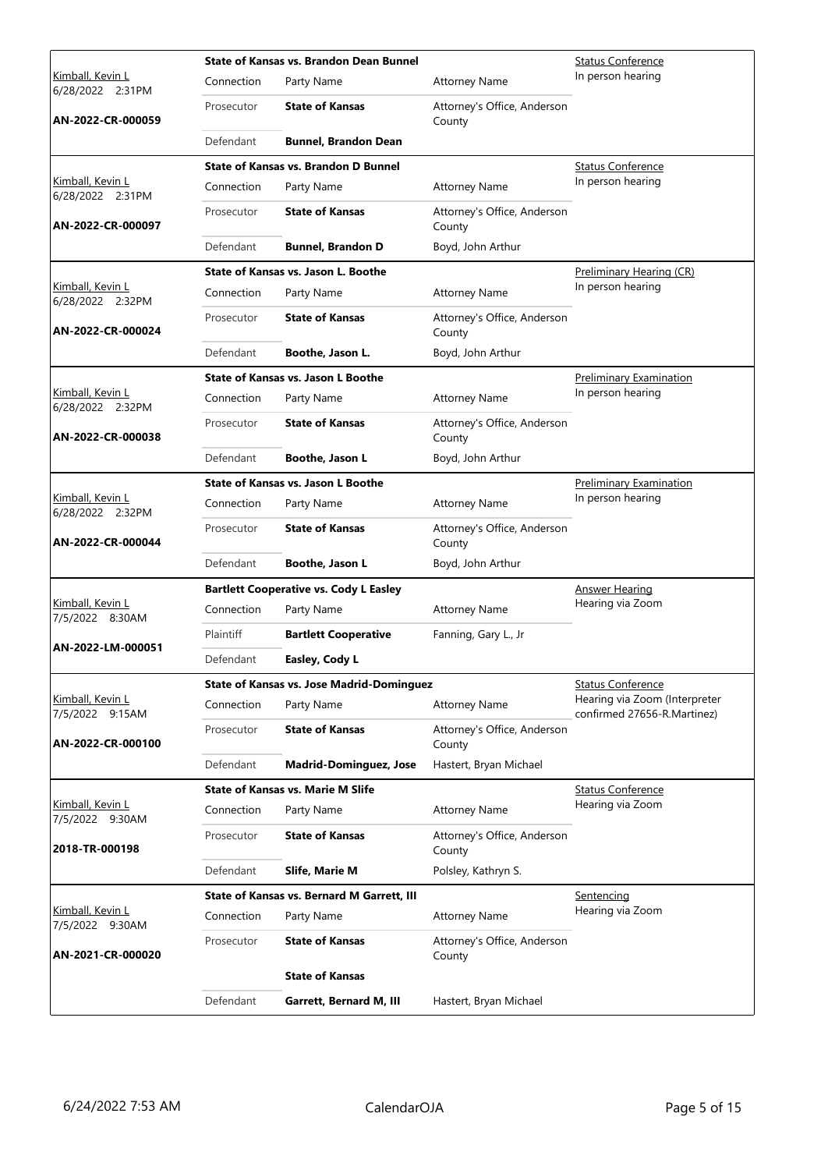|                                      | <b>State of Kansas vs. Brandon Dean Bunnel</b> |                                                  |                                       | <b>Status Conference</b>                                     |
|--------------------------------------|------------------------------------------------|--------------------------------------------------|---------------------------------------|--------------------------------------------------------------|
| Kimball, Kevin L<br>6/28/2022 2:31PM | Connection                                     | Party Name                                       | <b>Attorney Name</b>                  | In person hearing                                            |
| AN-2022-CR-000059                    | Prosecutor                                     | <b>State of Kansas</b>                           | Attorney's Office, Anderson<br>County |                                                              |
|                                      | Defendant                                      | <b>Bunnel, Brandon Dean</b>                      |                                       |                                                              |
|                                      |                                                | <b>State of Kansas vs. Brandon D Bunnel</b>      |                                       | <b>Status Conference</b>                                     |
| Kimball, Kevin L<br>6/28/2022 2:31PM | Connection                                     | Party Name                                       | <b>Attorney Name</b>                  | In person hearing                                            |
| AN-2022-CR-000097                    | Prosecutor                                     | <b>State of Kansas</b>                           | Attorney's Office, Anderson<br>County |                                                              |
|                                      | Defendant                                      | <b>Bunnel, Brandon D</b>                         | Boyd, John Arthur                     |                                                              |
|                                      |                                                | State of Kansas vs. Jason L. Boothe              |                                       | Preliminary Hearing (CR)                                     |
| Kimball, Kevin L<br>6/28/2022 2:32PM | Connection                                     | Party Name                                       | <b>Attorney Name</b>                  | In person hearing                                            |
| AN-2022-CR-000024                    | Prosecutor                                     | <b>State of Kansas</b>                           | Attorney's Office, Anderson<br>County |                                                              |
|                                      | Defendant                                      | Boothe, Jason L.                                 | Boyd, John Arthur                     |                                                              |
|                                      |                                                | <b>State of Kansas vs. Jason L Boothe</b>        |                                       | Preliminary Examination                                      |
| Kimball, Kevin L<br>6/28/2022 2:32PM | Connection                                     | Party Name                                       | <b>Attorney Name</b>                  | In person hearing                                            |
| AN-2022-CR-000038                    | Prosecutor                                     | <b>State of Kansas</b>                           | Attorney's Office, Anderson<br>County |                                                              |
|                                      | Defendant                                      | Boothe, Jason L                                  | Boyd, John Arthur                     |                                                              |
|                                      |                                                | <b>State of Kansas vs. Jason L Boothe</b>        |                                       | <b>Preliminary Examination</b>                               |
| Kimball, Kevin L<br>6/28/2022 2:32PM | Connection                                     | Party Name                                       | <b>Attorney Name</b>                  | In person hearing                                            |
| AN-2022-CR-000044                    | Prosecutor                                     | <b>State of Kansas</b>                           | Attorney's Office, Anderson<br>County |                                                              |
|                                      | Defendant                                      | Boothe, Jason L                                  | Boyd, John Arthur                     |                                                              |
|                                      |                                                | <b>Bartlett Cooperative vs. Cody L Easley</b>    |                                       | <b>Answer Hearing</b>                                        |
| Kimball, Kevin L<br>7/5/2022 8:30AM  | Connection                                     | Party Name                                       | <b>Attorney Name</b>                  | Hearing via Zoom                                             |
|                                      | Plaintiff                                      | <b>Bartlett Cooperative</b>                      | Fanning, Gary L., Jr                  |                                                              |
| AN-2022-LM-000051                    | Defendant                                      | Easley, Cody L                                   |                                       |                                                              |
|                                      |                                                | <b>State of Kansas vs. Jose Madrid-Dominguez</b> |                                       | <b>Status Conference</b>                                     |
| Kimball, Kevin L<br>7/5/2022 9:15AM  | Connection                                     | Party Name                                       | <b>Attorney Name</b>                  | Hearing via Zoom (Interpreter<br>confirmed 27656-R.Martinez) |
| AN-2022-CR-000100                    | Prosecutor                                     | <b>State of Kansas</b>                           | Attorney's Office, Anderson<br>County |                                                              |
|                                      | Defendant                                      | <b>Madrid-Dominguez, Jose</b>                    | Hastert, Bryan Michael                |                                                              |
|                                      |                                                | <b>State of Kansas vs. Marie M Slife</b>         |                                       | <b>Status Conference</b>                                     |
| Kimball, Kevin L<br>7/5/2022 9:30AM  | Connection                                     | Party Name                                       | <b>Attorney Name</b>                  | Hearing via Zoom                                             |
| 2018-TR-000198                       | Prosecutor                                     | <b>State of Kansas</b>                           | Attorney's Office, Anderson<br>County |                                                              |
|                                      | Defendant                                      | Slife, Marie M                                   | Polsley, Kathryn S.                   |                                                              |
|                                      |                                                | State of Kansas vs. Bernard M Garrett, III       |                                       | Sentencing                                                   |
| Kimball, Kevin L<br>7/5/2022 9:30AM  | Connection                                     | Party Name                                       | <b>Attorney Name</b>                  | Hearing via Zoom                                             |
| AN-2021-CR-000020                    | Prosecutor                                     | <b>State of Kansas</b>                           | Attorney's Office, Anderson<br>County |                                                              |
|                                      |                                                | <b>State of Kansas</b>                           |                                       |                                                              |
|                                      | Defendant                                      | Garrett, Bernard M, III                          | Hastert, Bryan Michael                |                                                              |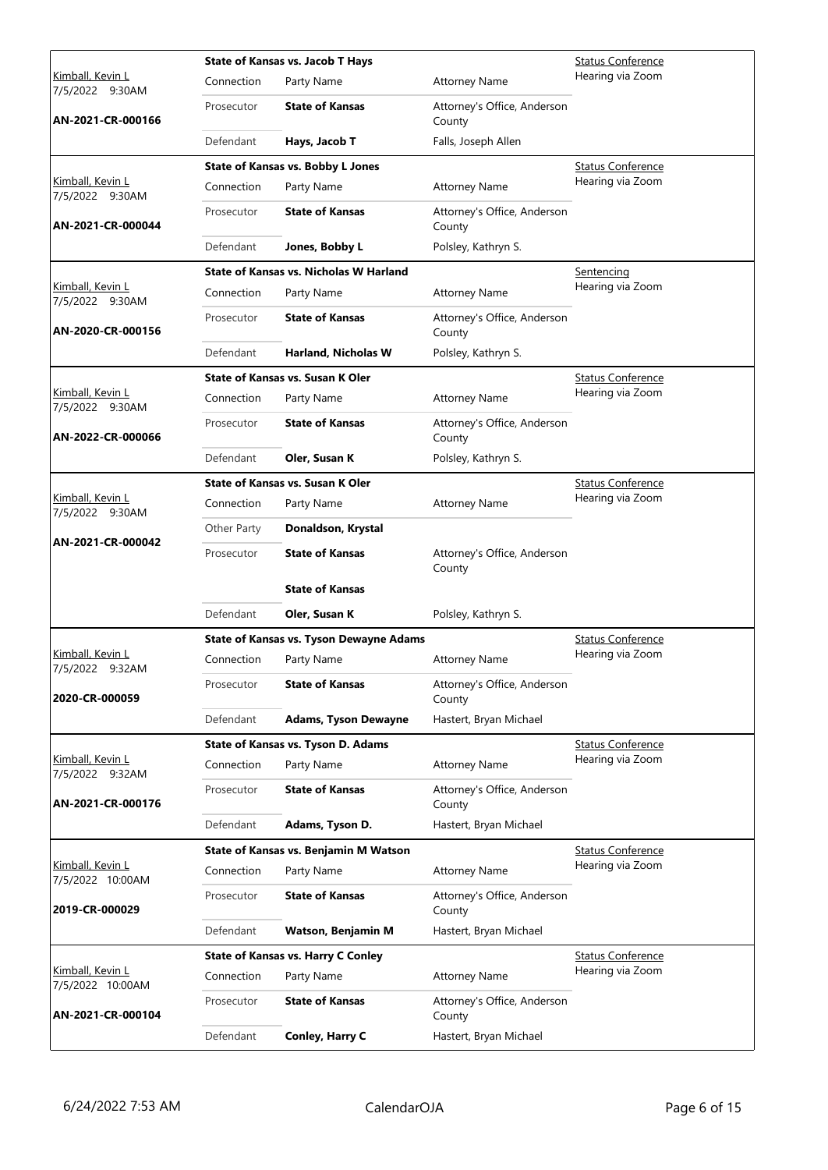|                                            |             | State of Kansas vs. Jacob T Hays               | <b>Status Conference</b>              |                          |
|--------------------------------------------|-------------|------------------------------------------------|---------------------------------------|--------------------------|
| Kimball, Kevin L<br>7/5/2022 9:30AM        | Connection  | Party Name                                     | <b>Attorney Name</b>                  | Hearing via Zoom         |
| AN-2021-CR-000166                          | Prosecutor  | <b>State of Kansas</b>                         | Attorney's Office, Anderson<br>County |                          |
|                                            | Defendant   | Hays, Jacob T                                  | Falls, Joseph Allen                   |                          |
|                                            |             | <b>State of Kansas vs. Bobby L Jones</b>       |                                       | <b>Status Conference</b> |
| Kimball, Kevin L<br>7/5/2022 9:30AM        | Connection  | Party Name                                     | <b>Attorney Name</b>                  | Hearing via Zoom         |
| AN-2021-CR-000044                          | Prosecutor  | <b>State of Kansas</b>                         | Attorney's Office, Anderson<br>County |                          |
|                                            | Defendant   | Jones, Bobby L                                 | Polsley, Kathryn S.                   |                          |
|                                            |             | State of Kansas vs. Nicholas W Harland         |                                       | Sentencing               |
| Kimball, Kevin L<br>7/5/2022 9:30AM        | Connection  | Party Name                                     | <b>Attorney Name</b>                  | Hearing via Zoom         |
| AN-2020-CR-000156                          | Prosecutor  | <b>State of Kansas</b>                         | Attorney's Office, Anderson<br>County |                          |
|                                            | Defendant   | <b>Harland, Nicholas W</b>                     | Polsley, Kathryn S.                   |                          |
|                                            |             | <b>State of Kansas vs. Susan K Oler</b>        |                                       | <b>Status Conference</b> |
| <u>Kimball, Kevin L</u><br>7/5/2022 9:30AM | Connection  | Party Name                                     | <b>Attorney Name</b>                  | Hearing via Zoom         |
| AN-2022-CR-000066                          | Prosecutor  | <b>State of Kansas</b>                         | Attorney's Office, Anderson<br>County |                          |
|                                            | Defendant   | Oler, Susan K                                  | Polsley, Kathryn S.                   |                          |
|                                            |             | <b>State of Kansas vs. Susan K Oler</b>        |                                       | <b>Status Conference</b> |
| Kimball, Kevin L<br>7/5/2022 9:30AM        | Connection  | Party Name                                     | <b>Attorney Name</b>                  | Hearing via Zoom         |
|                                            | Other Party | Donaldson, Krystal                             |                                       |                          |
| AN-2021-CR-000042                          | Prosecutor  | <b>State of Kansas</b>                         | Attorney's Office, Anderson<br>County |                          |
|                                            |             | <b>State of Kansas</b>                         |                                       |                          |
|                                            | Defendant   | Oler, Susan K                                  | Polsley, Kathryn S.                   |                          |
|                                            |             | <b>State of Kansas vs. Tyson Dewayne Adams</b> |                                       | <b>Status Conference</b> |
| Kimball, Kevin L<br>7/5/2022 9:32AM        | Connection  | Party Name                                     | <b>Attorney Name</b>                  | Hearing via Zoom         |
| 2020-CR-000059                             | Prosecutor  | <b>State of Kansas</b>                         | Attorney's Office, Anderson<br>County |                          |
|                                            | Defendant   | <b>Adams, Tyson Dewayne</b>                    | Hastert, Bryan Michael                |                          |
|                                            |             | State of Kansas vs. Tyson D. Adams             |                                       | <b>Status Conference</b> |
| <u>Kimball, Kevin L</u><br>7/5/2022 9:32AM | Connection  | Party Name                                     | <b>Attorney Name</b>                  | Hearing via Zoom         |
| AN-2021-CR-000176                          | Prosecutor  | <b>State of Kansas</b>                         | Attorney's Office, Anderson<br>County |                          |
|                                            | Defendant   | Adams, Tyson D.                                | Hastert, Bryan Michael                |                          |
|                                            |             | State of Kansas vs. Benjamin M Watson          |                                       | <b>Status Conference</b> |
| Kimball, Kevin L<br>7/5/2022 10:00AM       | Connection  | Party Name                                     | <b>Attorney Name</b>                  | Hearing via Zoom         |
| 2019-CR-000029                             | Prosecutor  | <b>State of Kansas</b>                         | Attorney's Office, Anderson<br>County |                          |
|                                            | Defendant   | Watson, Benjamin M                             | Hastert, Bryan Michael                |                          |
|                                            |             | <b>State of Kansas vs. Harry C Conley</b>      |                                       | <b>Status Conference</b> |
| Kimball, Kevin L<br>7/5/2022 10:00AM       | Connection  | Party Name                                     | <b>Attorney Name</b>                  | Hearing via Zoom         |
| AN-2021-CR-000104                          | Prosecutor  | <b>State of Kansas</b>                         | Attorney's Office, Anderson<br>County |                          |
|                                            | Defendant   | Conley, Harry C                                | Hastert, Bryan Michael                |                          |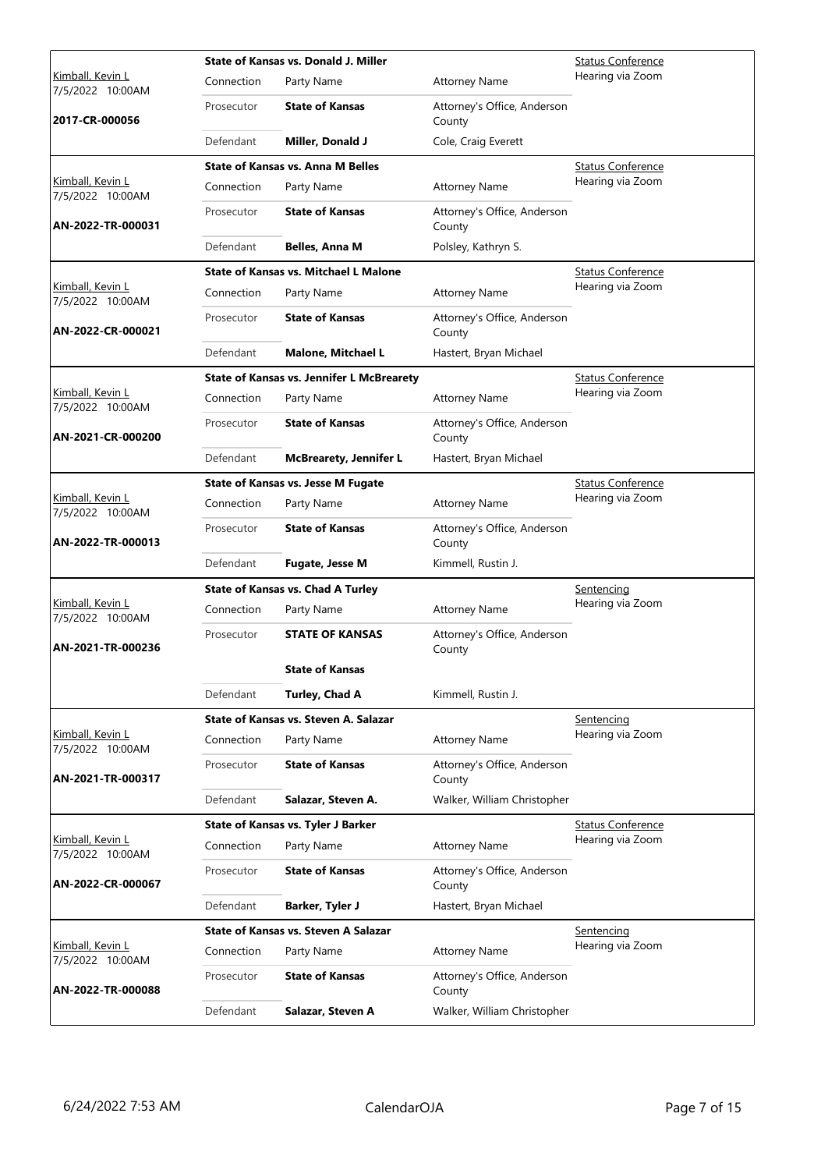|                                      |            | State of Kansas vs. Donald J. Miller             | <b>Status Conference</b>              |                          |
|--------------------------------------|------------|--------------------------------------------------|---------------------------------------|--------------------------|
| Kimball, Kevin L<br>7/5/2022 10:00AM | Connection | Party Name                                       | <b>Attorney Name</b>                  | Hearing via Zoom         |
| 2017-CR-000056                       | Prosecutor | <b>State of Kansas</b>                           | Attorney's Office, Anderson<br>County |                          |
|                                      | Defendant  | <b>Miller, Donald J</b>                          | Cole, Craig Everett                   |                          |
|                                      |            | <b>State of Kansas vs. Anna M Belles</b>         |                                       | <b>Status Conference</b> |
| Kimball, Kevin L<br>7/5/2022 10:00AM | Connection | Party Name                                       | <b>Attorney Name</b>                  | Hearing via Zoom         |
| AN-2022-TR-000031                    | Prosecutor | <b>State of Kansas</b>                           | Attorney's Office, Anderson<br>County |                          |
|                                      | Defendant  | <b>Belles, Anna M</b>                            | Polsley, Kathryn S.                   |                          |
|                                      |            | State of Kansas vs. Mitchael L Malone            |                                       | <b>Status Conference</b> |
| Kimball, Kevin L<br>7/5/2022 10:00AM | Connection | Party Name                                       | <b>Attorney Name</b>                  | Hearing via Zoom         |
| AN-2022-CR-000021                    | Prosecutor | <b>State of Kansas</b>                           | Attorney's Office, Anderson<br>County |                          |
|                                      | Defendant  | <b>Malone, Mitchael L</b>                        | Hastert, Bryan Michael                |                          |
|                                      |            | <b>State of Kansas vs. Jennifer L McBrearety</b> |                                       | <b>Status Conference</b> |
| Kimball, Kevin L<br>7/5/2022 10:00AM | Connection | Party Name                                       | <b>Attorney Name</b>                  | Hearing via Zoom         |
| AN-2021-CR-000200                    | Prosecutor | <b>State of Kansas</b>                           | Attorney's Office, Anderson<br>County |                          |
|                                      | Defendant  | <b>McBrearety, Jennifer L</b>                    | Hastert, Bryan Michael                |                          |
|                                      |            | <b>State of Kansas vs. Jesse M Fugate</b>        |                                       | <b>Status Conference</b> |
| Kimball, Kevin L<br>7/5/2022 10:00AM | Connection | Party Name                                       | <b>Attorney Name</b>                  | Hearing via Zoom         |
| AN-2022-TR-000013                    | Prosecutor | <b>State of Kansas</b>                           | Attorney's Office, Anderson<br>County |                          |
|                                      | Defendant  | Fugate, Jesse M                                  | Kimmell, Rustin J.                    |                          |
|                                      |            | <b>State of Kansas vs. Chad A Turley</b>         |                                       | <u>Sentencing</u>        |
| Kimball, Kevin L<br>7/5/2022 10:00AM | Connection | Party Name                                       | <b>Attorney Name</b>                  | Hearing via Zoom         |
| AN-2021-TR-000236                    | Prosecutor | <b>STATE OF KANSAS</b>                           | Attorney's Office, Anderson<br>County |                          |
|                                      |            | <b>State of Kansas</b>                           |                                       |                          |
|                                      | Defendant  | Turley, Chad A                                   | Kimmell, Rustin J.                    |                          |
|                                      |            | State of Kansas vs. Steven A. Salazar            |                                       | <u>Sentencing</u>        |
| Kimball, Kevin L<br>7/5/2022 10:00AM | Connection | Party Name                                       | <b>Attorney Name</b>                  | Hearing via Zoom         |
| AN-2021-TR-000317                    | Prosecutor | <b>State of Kansas</b>                           | Attorney's Office, Anderson<br>County |                          |
|                                      | Defendant  | Salazar, Steven A.                               | Walker, William Christopher           |                          |
|                                      |            | <b>State of Kansas vs. Tyler J Barker</b>        |                                       | <b>Status Conference</b> |
| Kimball, Kevin L<br>7/5/2022 10:00AM | Connection | Party Name                                       | <b>Attorney Name</b>                  | Hearing via Zoom         |
| AN-2022-CR-000067                    | Prosecutor | <b>State of Kansas</b>                           | Attorney's Office, Anderson<br>County |                          |
|                                      | Defendant  | Barker, Tyler J                                  | Hastert, Bryan Michael                |                          |
|                                      |            | State of Kansas vs. Steven A Salazar             |                                       | <b>Sentencing</b>        |
| Kimball, Kevin L<br>7/5/2022 10:00AM | Connection | Party Name                                       | <b>Attorney Name</b>                  | Hearing via Zoom         |
| AN-2022-TR-000088                    | Prosecutor | <b>State of Kansas</b>                           | Attorney's Office, Anderson<br>County |                          |
|                                      | Defendant  | Salazar, Steven A                                | Walker, William Christopher           |                          |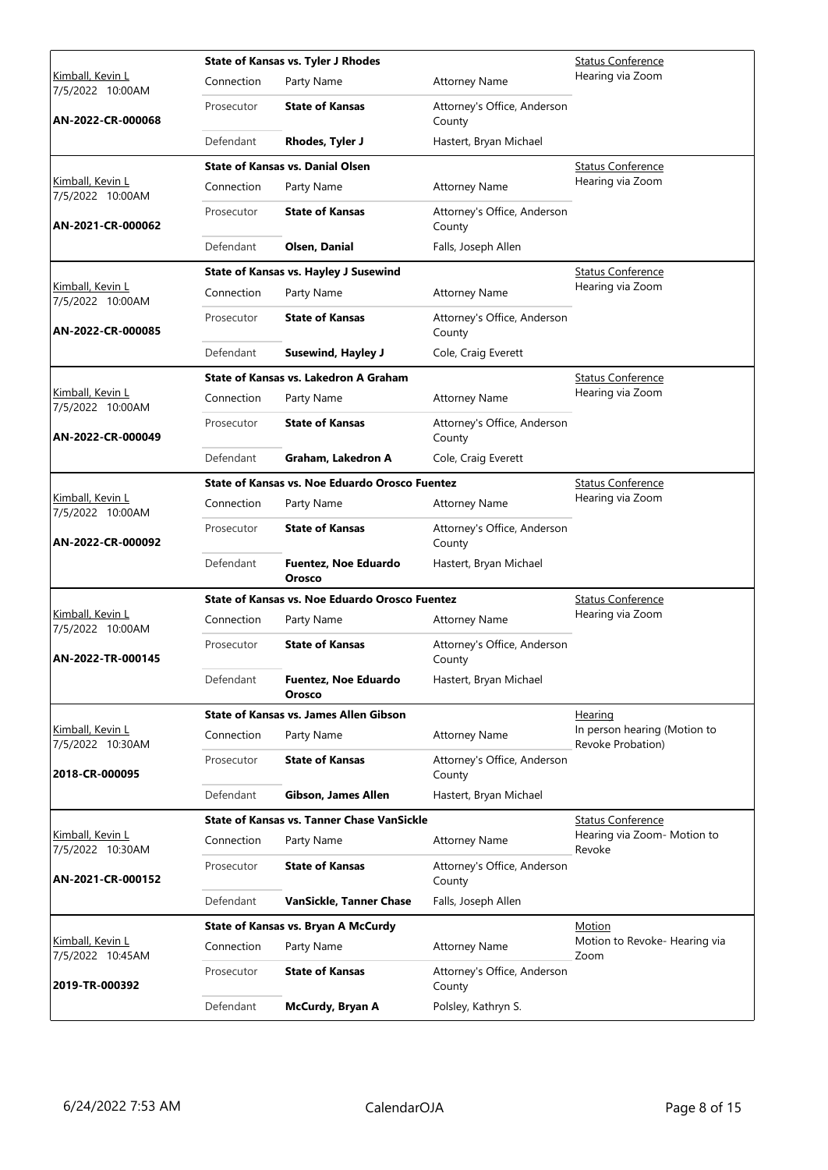|                                      |            | <b>State of Kansas vs. Tyler J Rhodes</b>         | Status Conference                     |                                                   |
|--------------------------------------|------------|---------------------------------------------------|---------------------------------------|---------------------------------------------------|
| Kimball, Kevin L<br>7/5/2022 10:00AM | Connection | Party Name                                        | <b>Attorney Name</b>                  | Hearing via Zoom                                  |
| AN-2022-CR-000068                    | Prosecutor | <b>State of Kansas</b>                            | Attorney's Office, Anderson<br>County |                                                   |
|                                      | Defendant  | Rhodes, Tyler J                                   | Hastert, Bryan Michael                |                                                   |
|                                      |            | <b>State of Kansas vs. Danial Olsen</b>           |                                       | <b>Status Conference</b>                          |
| Kimball, Kevin L<br>7/5/2022 10:00AM | Connection | Party Name                                        | <b>Attorney Name</b>                  | Hearing via Zoom                                  |
| AN-2021-CR-000062                    | Prosecutor | <b>State of Kansas</b>                            | Attorney's Office, Anderson<br>County |                                                   |
|                                      | Defendant  | Olsen, Danial                                     | Falls, Joseph Allen                   |                                                   |
|                                      |            | <b>State of Kansas vs. Hayley J Susewind</b>      |                                       | <b>Status Conference</b>                          |
| Kimball, Kevin L<br>7/5/2022 10:00AM | Connection | Party Name                                        | <b>Attorney Name</b>                  | Hearing via Zoom                                  |
| AN-2022-CR-000085                    | Prosecutor | <b>State of Kansas</b>                            | Attorney's Office, Anderson<br>County |                                                   |
|                                      | Defendant  | Susewind, Hayley J                                | Cole, Craig Everett                   |                                                   |
|                                      |            | State of Kansas vs. Lakedron A Graham             |                                       | <b>Status Conference</b>                          |
| Kimball, Kevin L<br>7/5/2022 10:00AM | Connection | Party Name                                        | <b>Attorney Name</b>                  | Hearing via Zoom                                  |
| AN-2022-CR-000049                    | Prosecutor | <b>State of Kansas</b>                            | Attorney's Office, Anderson<br>County |                                                   |
|                                      | Defendant  | Graham, Lakedron A                                | Cole, Craig Everett                   |                                                   |
|                                      |            | State of Kansas vs. Noe Eduardo Orosco Fuentez    | <b>Status Conference</b>              |                                                   |
| Kimball, Kevin L<br>7/5/2022 10:00AM | Connection | Party Name                                        | <b>Attorney Name</b>                  | Hearing via Zoom                                  |
| AN-2022-CR-000092                    | Prosecutor | <b>State of Kansas</b>                            | Attorney's Office, Anderson<br>County |                                                   |
|                                      | Defendant  | Fuentez, Noe Eduardo<br><b>Orosco</b>             | Hastert, Bryan Michael                |                                                   |
|                                      |            | State of Kansas vs. Noe Eduardo Orosco Fuentez    |                                       | <b>Status Conference</b>                          |
| Kimball, Kevin L<br>7/5/2022 10:00AM | Connection | Party Name                                        | <b>Attorney Name</b>                  | Hearing via Zoom                                  |
| AN-2022-TR-000145                    | Prosecutor | <b>State of Kansas</b>                            | Attorney's Office, Anderson<br>County |                                                   |
|                                      | Defendant  | <b>Fuentez, Noe Eduardo</b><br>Orosco             | Hastert, Bryan Michael                |                                                   |
|                                      |            | State of Kansas vs. James Allen Gibson            |                                       | Hearing                                           |
| Kimball, Kevin L<br>7/5/2022 10:30AM | Connection | Party Name                                        | <b>Attorney Name</b>                  | In person hearing (Motion to<br>Revoke Probation) |
| 2018-CR-000095                       | Prosecutor | <b>State of Kansas</b>                            | Attorney's Office, Anderson<br>County |                                                   |
|                                      | Defendant  | Gibson, James Allen                               | Hastert, Bryan Michael                |                                                   |
|                                      |            | <b>State of Kansas vs. Tanner Chase VanSickle</b> |                                       | <b>Status Conference</b>                          |
| Kimball, Kevin L<br>7/5/2022 10:30AM | Connection | Party Name                                        | <b>Attorney Name</b>                  | Hearing via Zoom- Motion to<br>Revoke             |
| AN-2021-CR-000152                    | Prosecutor | <b>State of Kansas</b>                            | Attorney's Office, Anderson<br>County |                                                   |
|                                      | Defendant  | VanSickle, Tanner Chase                           | Falls, Joseph Allen                   |                                                   |
|                                      |            | <b>State of Kansas vs. Bryan A McCurdy</b>        |                                       | Motion                                            |
| Kimball, Kevin L<br>7/5/2022 10:45AM | Connection | Party Name                                        | <b>Attorney Name</b>                  | Motion to Revoke- Hearing via<br>Zoom             |
| 2019-TR-000392                       | Prosecutor | <b>State of Kansas</b>                            | Attorney's Office, Anderson<br>County |                                                   |
|                                      | Defendant  | McCurdy, Bryan A                                  | Polsley, Kathryn S.                   |                                                   |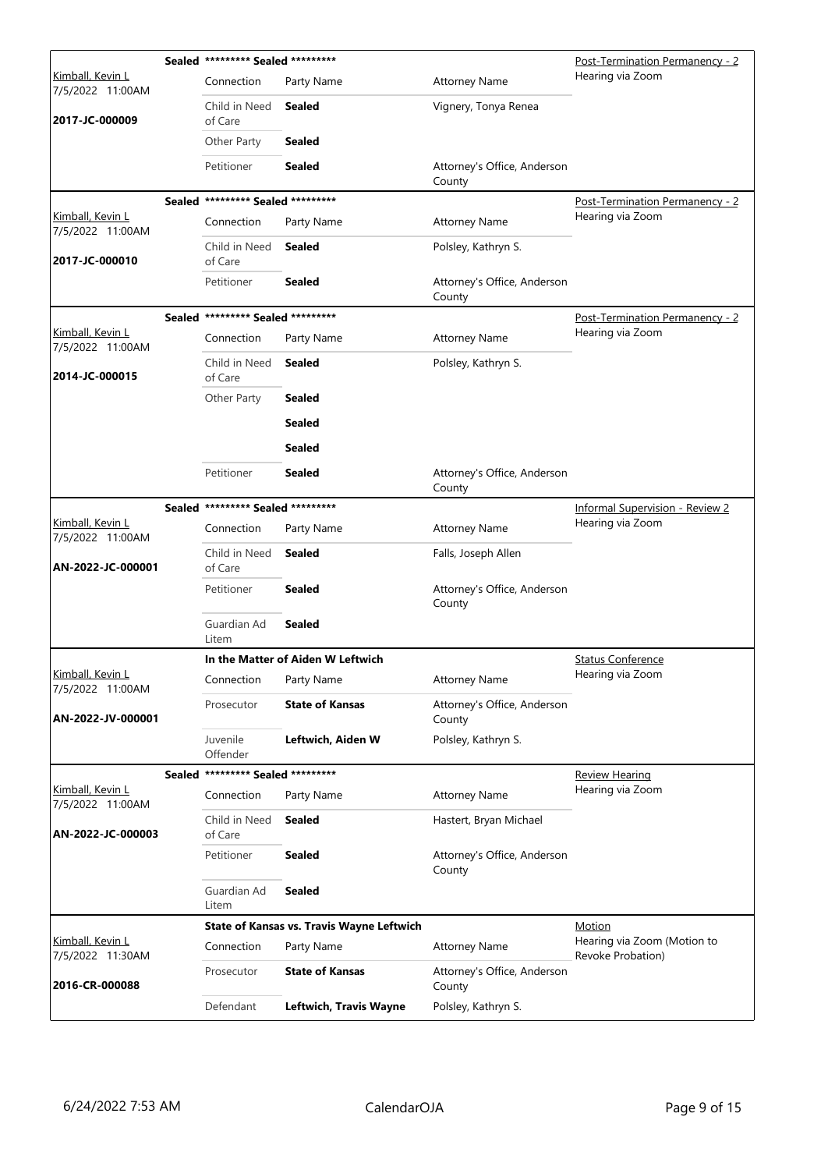|                                      | Sealed ********* Sealed ********* |                                                  | Post-Termination Permanency - 2       |                                                  |
|--------------------------------------|-----------------------------------|--------------------------------------------------|---------------------------------------|--------------------------------------------------|
| Kimball, Kevin L<br>7/5/2022 11:00AM | Connection                        | Party Name                                       | <b>Attorney Name</b>                  | Hearing via Zoom                                 |
| 2017-JC-000009                       | Child in Need<br>of Care          | Sealed                                           | Vignery, Tonya Renea                  |                                                  |
|                                      | Other Party                       | <b>Sealed</b>                                    |                                       |                                                  |
|                                      | Petitioner                        | Sealed                                           | Attorney's Office, Anderson<br>County |                                                  |
|                                      | Sealed ********* Sealed ********* |                                                  |                                       | Post-Termination Permanency - 2                  |
| Kimball, Kevin L<br>7/5/2022 11:00AM | Connection                        | Party Name                                       | <b>Attorney Name</b>                  | Hearing via Zoom                                 |
| 2017-JC-000010                       | Child in Need<br>of Care          | Sealed                                           | Polsley, Kathryn S.                   |                                                  |
|                                      | Petitioner                        | Sealed                                           | Attorney's Office, Anderson<br>County |                                                  |
|                                      | Sealed ********* Sealed ********* |                                                  |                                       | Post-Termination Permanency - 2                  |
| Kimball, Kevin L<br>7/5/2022 11:00AM | Connection                        | Party Name                                       | <b>Attorney Name</b>                  | Hearing via Zoom                                 |
| 2014-JC-000015                       | Child in Need<br>of Care          | Sealed                                           | Polsley, Kathryn S.                   |                                                  |
|                                      | Other Party                       | Sealed                                           |                                       |                                                  |
|                                      |                                   | Sealed                                           |                                       |                                                  |
|                                      |                                   | Sealed                                           |                                       |                                                  |
|                                      | Petitioner                        | <b>Sealed</b>                                    | Attorney's Office, Anderson<br>County |                                                  |
|                                      | Sealed ********* Sealed ********* |                                                  |                                       | <b>Informal Supervision - Review 2</b>           |
| Kimball, Kevin L<br>7/5/2022 11:00AM | Connection                        | Party Name                                       | <b>Attorney Name</b>                  | Hearing via Zoom                                 |
| AN-2022-JC-000001                    | Child in Need<br>of Care          | <b>Sealed</b>                                    | Falls, Joseph Allen                   |                                                  |
|                                      | Petitioner                        | Sealed                                           | Attorney's Office, Anderson<br>County |                                                  |
|                                      | Guardian Ad<br>Litem              | <b>Sealed</b>                                    |                                       |                                                  |
|                                      |                                   | In the Matter of Aiden W Leftwich                |                                       | <b>Status Conference</b>                         |
| Kimball, Kevin L<br>7/5/2022 11:00AM | Connection                        | Party Name                                       | <b>Attorney Name</b>                  | Hearing via Zoom                                 |
| AN-2022-JV-000001                    | Prosecutor                        | <b>State of Kansas</b>                           | Attorney's Office, Anderson<br>County |                                                  |
|                                      | Juvenile<br>Offender              | Leftwich, Aiden W                                | Polsley, Kathryn S.                   |                                                  |
|                                      | Sealed ********* Sealed ********* |                                                  |                                       | <b>Review Hearing</b>                            |
| Kimball, Kevin L<br>7/5/2022 11:00AM | Connection                        | Party Name                                       | <b>Attorney Name</b>                  | Hearing via Zoom                                 |
| AN-2022-JC-000003                    | Child in Need<br>of Care          | Sealed                                           | Hastert, Bryan Michael                |                                                  |
|                                      | Petitioner                        | <b>Sealed</b>                                    | Attorney's Office, Anderson<br>County |                                                  |
|                                      | Guardian Ad<br>Litem              | <b>Sealed</b>                                    |                                       |                                                  |
|                                      |                                   | <b>State of Kansas vs. Travis Wayne Leftwich</b> |                                       | Motion                                           |
| Kimball, Kevin L<br>7/5/2022 11:30AM | Connection                        | Party Name                                       | <b>Attorney Name</b>                  | Hearing via Zoom (Motion to<br>Revoke Probation) |
| 2016-CR-000088                       | Prosecutor                        | <b>State of Kansas</b>                           | Attorney's Office, Anderson<br>County |                                                  |
|                                      | Defendant                         | Leftwich, Travis Wayne                           | Polsley, Kathryn S.                   |                                                  |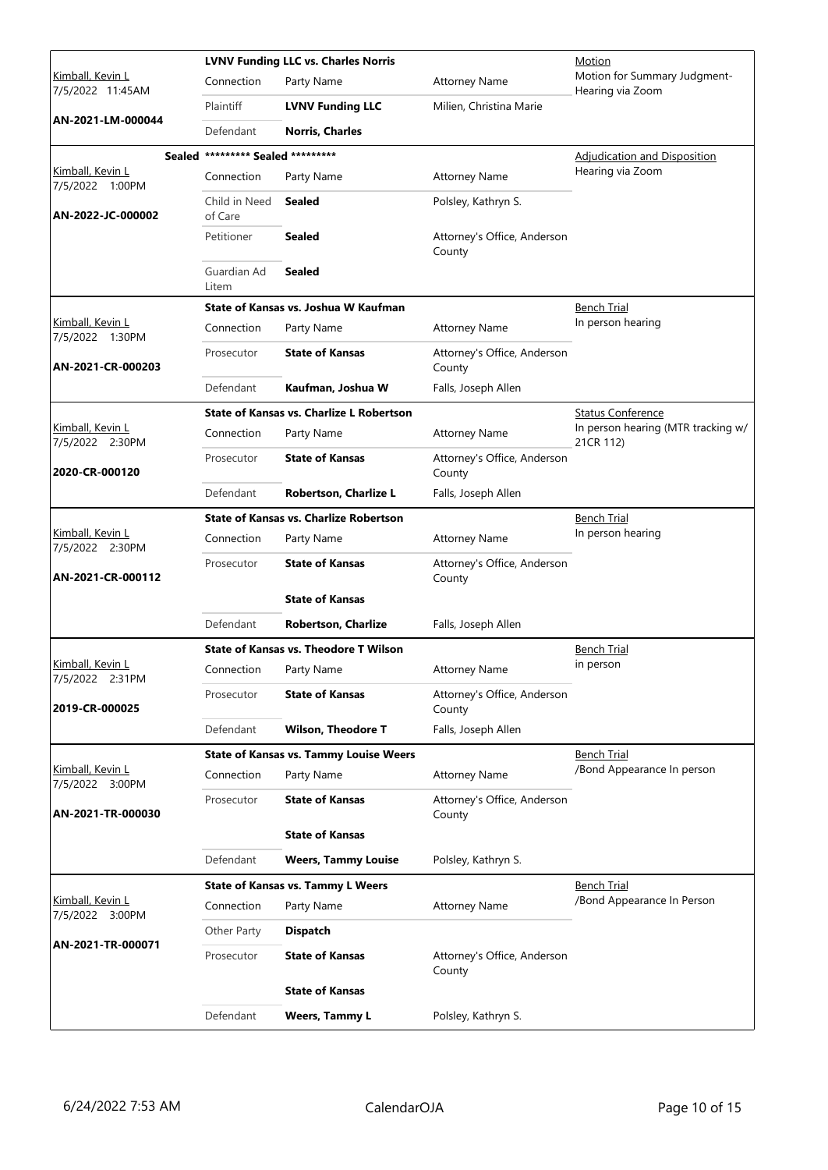|                                            | <b>LVNV Funding LLC vs. Charles Norris</b> |                                                 |                                       | Motion                                           |
|--------------------------------------------|--------------------------------------------|-------------------------------------------------|---------------------------------------|--------------------------------------------------|
| Kimball, Kevin L<br>7/5/2022 11:45AM       | Connection                                 | Party Name                                      | <b>Attorney Name</b>                  | Motion for Summary Judgment-<br>Hearing via Zoom |
|                                            | Plaintiff                                  | <b>LVNV Funding LLC</b>                         | Milien, Christina Marie               |                                                  |
| AN-2021-LM-000044                          | Defendant                                  | Norris, Charles                                 |                                       |                                                  |
|                                            | Sealed ********* Sealed *********          |                                                 |                                       | Adjudication and Disposition                     |
| Kimball, Kevin L<br>7/5/2022 1:00PM        | Connection                                 | Party Name                                      | <b>Attorney Name</b>                  | Hearing via Zoom                                 |
| AN-2022-JC-000002                          | Child in Need<br>of Care                   | <b>Sealed</b>                                   | Polsley, Kathryn S.                   |                                                  |
|                                            | Petitioner                                 | <b>Sealed</b>                                   | Attorney's Office, Anderson<br>County |                                                  |
|                                            | Guardian Ad<br>Litem                       | <b>Sealed</b>                                   |                                       |                                                  |
|                                            |                                            | State of Kansas vs. Joshua W Kaufman            |                                       | <b>Bench Trial</b>                               |
| Kimball, Kevin L<br>7/5/2022 1:30PM        | Connection                                 | Party Name                                      | <b>Attorney Name</b>                  | In person hearing                                |
| AN-2021-CR-000203                          | Prosecutor                                 | <b>State of Kansas</b>                          | Attorney's Office, Anderson<br>County |                                                  |
|                                            | Defendant                                  | Kaufman, Joshua W                               | Falls, Joseph Allen                   |                                                  |
|                                            |                                            | <b>State of Kansas vs. Charlize L Robertson</b> |                                       | <b>Status Conference</b>                         |
| Kimball, Kevin L<br>7/5/2022 2:30PM        | Connection                                 | Party Name                                      | <b>Attorney Name</b>                  | In person hearing (MTR tracking w/<br>21CR 112)  |
| 2020-CR-000120                             | Prosecutor                                 | <b>State of Kansas</b>                          | Attorney's Office, Anderson<br>County |                                                  |
|                                            | Defendant                                  | Robertson, Charlize L                           | Falls, Joseph Allen                   |                                                  |
|                                            |                                            | <b>State of Kansas vs. Charlize Robertson</b>   |                                       | <b>Bench Trial</b>                               |
| Kimball, Kevin L<br>7/5/2022 2:30PM        | Connection                                 | Party Name                                      | <b>Attorney Name</b>                  | In person hearing                                |
| AN-2021-CR-000112                          | Prosecutor                                 | <b>State of Kansas</b>                          | Attorney's Office, Anderson<br>County |                                                  |
|                                            |                                            | <b>State of Kansas</b>                          |                                       |                                                  |
|                                            | Defendant                                  | <b>Robertson, Charlize</b>                      | Falls, Joseph Allen                   |                                                  |
|                                            |                                            | State of Kansas vs. Theodore T Wilson           |                                       | <b>Bench Trial</b>                               |
| <u>Kimball, Kevin L</u><br>7/5/2022 2:31PM | Connection                                 | Party Name                                      | <b>Attorney Name</b>                  | in person                                        |
| 2019-CR-000025                             | Prosecutor                                 | <b>State of Kansas</b>                          | Attorney's Office, Anderson<br>County |                                                  |
|                                            | Defendant                                  | <b>Wilson, Theodore T</b>                       | Falls, Joseph Allen                   |                                                  |
|                                            |                                            | <b>State of Kansas vs. Tammy Louise Weers</b>   |                                       | <b>Bench Trial</b>                               |
| <u>Kimball, Kevin L</u><br>7/5/2022 3:00PM | Connection                                 | Party Name                                      | <b>Attorney Name</b>                  | /Bond Appearance In person                       |
| AN-2021-TR-000030                          | Prosecutor                                 | <b>State of Kansas</b>                          | Attorney's Office, Anderson<br>County |                                                  |
|                                            |                                            | <b>State of Kansas</b>                          |                                       |                                                  |
|                                            | Defendant                                  | <b>Weers, Tammy Louise</b>                      | Polsley, Kathryn S.                   |                                                  |
|                                            |                                            | <b>State of Kansas vs. Tammy L Weers</b>        |                                       | Bench Trial                                      |
| <u>Kimball, Kevin L</u><br>7/5/2022 3:00PM | Connection                                 | Party Name                                      | <b>Attorney Name</b>                  | /Bond Appearance In Person                       |
|                                            | Other Party                                | <b>Dispatch</b>                                 |                                       |                                                  |
| AN-2021-TR-000071                          | Prosecutor                                 | <b>State of Kansas</b>                          | Attorney's Office, Anderson<br>County |                                                  |
|                                            |                                            | <b>State of Kansas</b>                          |                                       |                                                  |
|                                            | Defendant                                  | Weers, Tammy L                                  | Polsley, Kathryn S.                   |                                                  |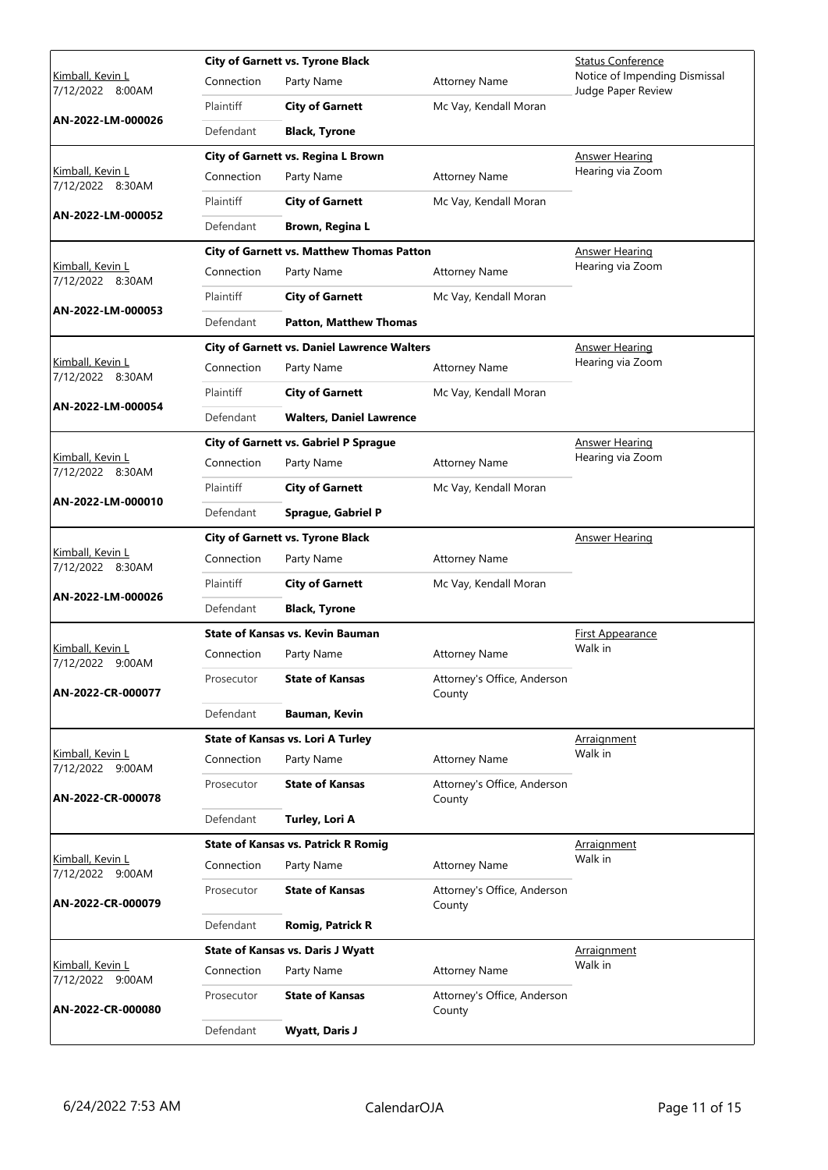|                                      |            | <b>City of Garnett vs. Tyrone Black</b>            | <b>Status Conference</b>              |                                                     |
|--------------------------------------|------------|----------------------------------------------------|---------------------------------------|-----------------------------------------------------|
| Kimball, Kevin L<br>7/12/2022 8:00AM | Connection | Party Name                                         | <b>Attorney Name</b>                  | Notice of Impending Dismissal<br>Judge Paper Review |
|                                      | Plaintiff  | <b>City of Garnett</b>                             | Mc Vay, Kendall Moran                 |                                                     |
| AN-2022-LM-000026                    | Defendant  | <b>Black, Tyrone</b>                               |                                       |                                                     |
|                                      |            | City of Garnett vs. Regina L Brown                 |                                       | Answer Hearing                                      |
| Kimball, Kevin L<br>7/12/2022 8:30AM | Connection | Party Name                                         | <b>Attorney Name</b>                  | Hearing via Zoom                                    |
| AN-2022-LM-000052                    | Plaintiff  | <b>City of Garnett</b>                             | Mc Vay, Kendall Moran                 |                                                     |
|                                      | Defendant  | Brown, Regina L                                    |                                       |                                                     |
|                                      |            | City of Garnett vs. Matthew Thomas Patton          |                                       | Answer Hearing                                      |
| Kimball, Kevin L<br>7/12/2022 8:30AM | Connection | Party Name                                         | <b>Attorney Name</b>                  | Hearing via Zoom                                    |
| AN-2022-LM-000053                    | Plaintiff  | <b>City of Garnett</b>                             | Mc Vay, Kendall Moran                 |                                                     |
|                                      | Defendant  | <b>Patton, Matthew Thomas</b>                      |                                       |                                                     |
|                                      |            | <b>City of Garnett vs. Daniel Lawrence Walters</b> |                                       | <b>Answer Hearing</b>                               |
| Kimball, Kevin L<br>7/12/2022 8:30AM | Connection | Party Name                                         | <b>Attorney Name</b>                  | Hearing via Zoom                                    |
| AN-2022-LM-000054                    | Plaintiff  | <b>City of Garnett</b>                             | Mc Vay, Kendall Moran                 |                                                     |
|                                      | Defendant  | <b>Walters, Daniel Lawrence</b>                    |                                       |                                                     |
|                                      |            | <b>City of Garnett vs. Gabriel P Sprague</b>       |                                       | <b>Answer Hearing</b>                               |
| Kimball, Kevin L<br>7/12/2022 8:30AM | Connection | Party Name                                         | <b>Attorney Name</b>                  | Hearing via Zoom                                    |
| AN-2022-LM-000010                    | Plaintiff  | <b>City of Garnett</b>                             | Mc Vay, Kendall Moran                 |                                                     |
|                                      | Defendant  | <b>Sprague, Gabriel P</b>                          |                                       |                                                     |
|                                      |            | <b>City of Garnett vs. Tyrone Black</b>            | <b>Answer Hearing</b>                 |                                                     |
| Kimball, Kevin L<br>7/12/2022 8:30AM | Connection | Party Name                                         | <b>Attorney Name</b>                  |                                                     |
| AN-2022-LM-000026                    | Plaintiff  | <b>City of Garnett</b>                             | Mc Vay, Kendall Moran                 |                                                     |
|                                      | Defendant  | <b>Black, Tyrone</b>                               |                                       |                                                     |
|                                      |            | <b>State of Kansas vs. Kevin Bauman</b>            | <b>First Appearance</b>               |                                                     |
| Kimball, Kevin L<br>7/12/2022 9:00AM | Connection | Party Name                                         | <b>Attorney Name</b>                  | Walk in                                             |
| AN-2022-CR-000077                    | Prosecutor | <b>State of Kansas</b>                             | Attorney's Office, Anderson<br>County |                                                     |
|                                      | Defendant  | Bauman, Kevin                                      |                                       |                                                     |
|                                      |            | State of Kansas vs. Lori A Turley                  |                                       | Arraignment<br>Walk in                              |
| Kimball, Kevin L<br>7/12/2022 9:00AM | Connection | Party Name                                         | <b>Attorney Name</b>                  |                                                     |
| AN-2022-CR-000078                    | Prosecutor | <b>State of Kansas</b>                             | Attorney's Office, Anderson<br>County |                                                     |
|                                      | Defendant  | Turley, Lori A                                     |                                       |                                                     |
|                                      |            | <b>State of Kansas vs. Patrick R Romig</b>         |                                       | Arraignment<br>Walk in                              |
| Kimball, Kevin L<br>7/12/2022 9:00AM | Connection | Party Name                                         | <b>Attorney Name</b>                  |                                                     |
| AN-2022-CR-000079                    | Prosecutor | <b>State of Kansas</b>                             | Attorney's Office, Anderson<br>County |                                                     |
|                                      | Defendant  | <b>Romig, Patrick R</b>                            |                                       |                                                     |
|                                      |            | <b>State of Kansas vs. Daris J Wyatt</b>           |                                       | Arraignment<br>Walk in                              |
| Kimball, Kevin L<br>7/12/2022 9:00AM | Connection | Party Name                                         | <b>Attorney Name</b>                  |                                                     |
| AN-2022-CR-000080                    | Prosecutor | <b>State of Kansas</b>                             | Attorney's Office, Anderson<br>County |                                                     |
|                                      | Defendant  | <b>Wyatt, Daris J</b>                              |                                       |                                                     |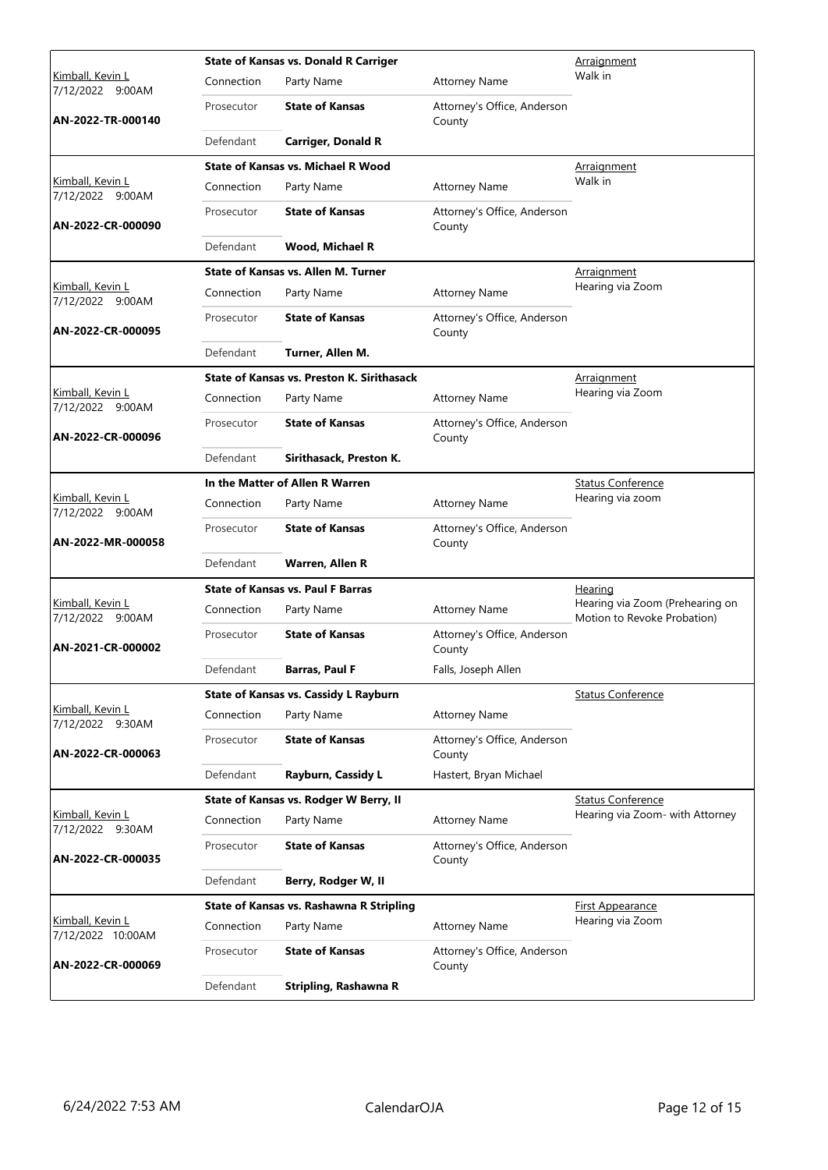|                                       |            | <b>State of Kansas vs. Donald R Carriger</b>      | Arraignment                           |                                                                |
|---------------------------------------|------------|---------------------------------------------------|---------------------------------------|----------------------------------------------------------------|
| Kimball, Kevin L<br>7/12/2022 9:00AM  | Connection | Party Name                                        | <b>Attorney Name</b>                  | Walk in                                                        |
| AN-2022-TR-000140                     | Prosecutor | <b>State of Kansas</b>                            | Attorney's Office, Anderson<br>County |                                                                |
|                                       | Defendant  | <b>Carriger, Donald R</b>                         |                                       |                                                                |
|                                       |            | <b>State of Kansas vs. Michael R Wood</b>         |                                       | Arraignment                                                    |
| Kimball, Kevin L<br>7/12/2022 9:00AM  | Connection | Party Name                                        | <b>Attorney Name</b>                  | Walk in                                                        |
| AN-2022-CR-000090                     | Prosecutor | <b>State of Kansas</b>                            | Attorney's Office, Anderson<br>County |                                                                |
|                                       | Defendant  | Wood, Michael R                                   |                                       |                                                                |
|                                       |            | State of Kansas vs. Allen M. Turner               |                                       | <b>Arraignment</b>                                             |
| Kimball, Kevin L<br>7/12/2022 9:00AM  | Connection | Party Name                                        | <b>Attorney Name</b>                  | Hearing via Zoom                                               |
| AN-2022-CR-000095                     | Prosecutor | <b>State of Kansas</b>                            | Attorney's Office, Anderson<br>County |                                                                |
|                                       | Defendant  | Turner, Allen M.                                  |                                       |                                                                |
|                                       |            | <b>State of Kansas vs. Preston K. Sirithasack</b> |                                       | Arraignment                                                    |
| Kimball, Kevin L<br>7/12/2022 9:00AM  | Connection | Party Name                                        | <b>Attorney Name</b>                  | Hearing via Zoom                                               |
| AN-2022-CR-000096                     | Prosecutor | <b>State of Kansas</b>                            | Attorney's Office, Anderson<br>County |                                                                |
|                                       | Defendant  | Sirithasack, Preston K.                           |                                       |                                                                |
|                                       |            | In the Matter of Allen R Warren                   |                                       | <b>Status Conference</b>                                       |
| Kimball, Kevin L<br>7/12/2022 9:00AM  | Connection | Party Name                                        | <b>Attorney Name</b>                  | Hearing via zoom                                               |
| AN-2022-MR-000058                     | Prosecutor | <b>State of Kansas</b>                            | Attorney's Office, Anderson<br>County |                                                                |
|                                       | Defendant  | Warren, Allen R                                   |                                       |                                                                |
|                                       |            | <b>State of Kansas vs. Paul F Barras</b>          | Hearing                               |                                                                |
| Kimball, Kevin L<br>7/12/2022 9:00AM  | Connection | Party Name                                        | <b>Attorney Name</b>                  | Hearing via Zoom (Prehearing on<br>Motion to Revoke Probation) |
| AN-2021-CR-000002                     | Prosecutor | <b>State of Kansas</b>                            | Attorney's Office, Anderson<br>County |                                                                |
|                                       | Defendant  | <b>Barras, Paul F</b>                             | Falls, Joseph Allen                   |                                                                |
|                                       |            | <b>State of Kansas vs. Cassidy L Rayburn</b>      |                                       | <b>Status Conference</b>                                       |
| Kimball, Kevin L<br>7/12/2022 9:30AM  | Connection | Party Name                                        | <b>Attorney Name</b>                  |                                                                |
| AN-2022-CR-000063                     | Prosecutor | <b>State of Kansas</b>                            | Attorney's Office, Anderson<br>County |                                                                |
|                                       | Defendant  | Rayburn, Cassidy L                                | Hastert, Bryan Michael                |                                                                |
|                                       |            | State of Kansas vs. Rodger W Berry, II            |                                       | <b>Status Conference</b>                                       |
| Kimball, Kevin L<br>7/12/2022 9:30AM  | Connection | Party Name                                        | <b>Attorney Name</b>                  | Hearing via Zoom- with Attorney                                |
| AN-2022-CR-000035                     | Prosecutor | <b>State of Kansas</b>                            | Attorney's Office, Anderson<br>County |                                                                |
|                                       | Defendant  | Berry, Rodger W, II                               |                                       |                                                                |
|                                       |            | State of Kansas vs. Rashawna R Stripling          |                                       | <b>First Appearance</b>                                        |
| Kimball, Kevin L<br>7/12/2022 10:00AM | Connection | Party Name                                        | <b>Attorney Name</b>                  | Hearing via Zoom                                               |
| AN-2022-CR-000069                     | Prosecutor | <b>State of Kansas</b>                            | Attorney's Office, Anderson<br>County |                                                                |
|                                       | Defendant  | Stripling, Rashawna R                             |                                       |                                                                |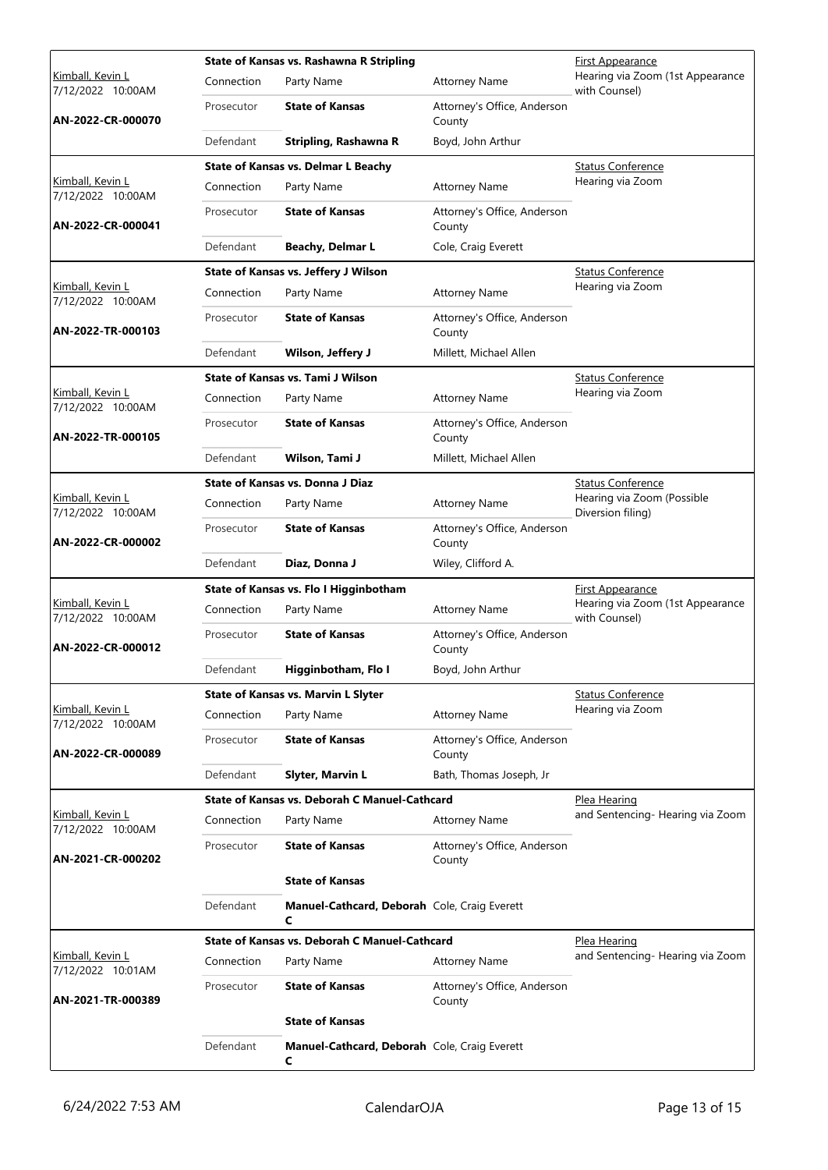|                                       |            | State of Kansas vs. Rashawna R Stripling             | <b>First Appearance</b>               |                                                   |
|---------------------------------------|------------|------------------------------------------------------|---------------------------------------|---------------------------------------------------|
| Kimball, Kevin L<br>7/12/2022 10:00AM | Connection | Party Name                                           | <b>Attorney Name</b>                  | Hearing via Zoom (1st Appearance<br>with Counsel) |
| AN-2022-CR-000070                     | Prosecutor | <b>State of Kansas</b>                               | Attorney's Office, Anderson<br>County |                                                   |
|                                       | Defendant  | Stripling, Rashawna R                                | Boyd, John Arthur                     |                                                   |
|                                       |            | <b>State of Kansas vs. Delmar L Beachy</b>           | <b>Status Conference</b>              |                                                   |
| Kimball, Kevin L<br>7/12/2022 10:00AM | Connection | Party Name                                           | <b>Attorney Name</b>                  | Hearing via Zoom                                  |
| AN-2022-CR-000041                     | Prosecutor | <b>State of Kansas</b>                               | Attorney's Office, Anderson<br>County |                                                   |
|                                       | Defendant  | <b>Beachy, Delmar L</b>                              | Cole, Craig Everett                   |                                                   |
|                                       |            | <b>State of Kansas vs. Jeffery J Wilson</b>          | <b>Status Conference</b>              |                                                   |
| Kimball, Kevin L<br>7/12/2022 10:00AM | Connection | Party Name                                           | <b>Attorney Name</b>                  | Hearing via Zoom                                  |
| AN-2022-TR-000103                     | Prosecutor | <b>State of Kansas</b>                               | Attorney's Office, Anderson<br>County |                                                   |
|                                       | Defendant  | Wilson, Jeffery J                                    | Millett, Michael Allen                |                                                   |
|                                       |            | State of Kansas vs. Tami J Wilson                    |                                       | <b>Status Conference</b>                          |
| Kimball, Kevin L<br>7/12/2022 10:00AM | Connection | Party Name                                           | <b>Attorney Name</b>                  | Hearing via Zoom                                  |
| AN-2022-TR-000105                     | Prosecutor | <b>State of Kansas</b>                               | Attorney's Office, Anderson<br>County |                                                   |
|                                       | Defendant  | Wilson, Tami J                                       | Millett, Michael Allen                |                                                   |
|                                       |            | <b>State of Kansas vs. Donna J Diaz</b>              | <b>Status Conference</b>              |                                                   |
| Kimball, Kevin L<br>7/12/2022 10:00AM | Connection | Party Name                                           | <b>Attorney Name</b>                  | Hearing via Zoom (Possible<br>Diversion filing)   |
| AN-2022-CR-000002                     | Prosecutor | <b>State of Kansas</b>                               | Attorney's Office, Anderson<br>County |                                                   |
|                                       | Defendant  | Diaz, Donna J                                        | Wiley, Clifford A.                    |                                                   |
|                                       |            | State of Kansas vs. Flo I Higginbotham               | First Appearance                      |                                                   |
| Kimball, Kevin L<br>7/12/2022 10:00AM | Connection | Party Name                                           | <b>Attorney Name</b>                  | Hearing via Zoom (1st Appearance<br>with Counsel) |
| AN-2022-CR-000012                     | Prosecutor | <b>State of Kansas</b>                               | Attorney's Office, Anderson<br>County |                                                   |
|                                       | Defendant  | Higginbotham, Flo I                                  | Boyd, John Arthur                     |                                                   |
|                                       |            | <b>State of Kansas vs. Marvin L Slyter</b>           | <b>Status Conference</b>              |                                                   |
| Kimball, Kevin L<br>7/12/2022 10:00AM | Connection | Party Name                                           | <b>Attorney Name</b>                  | Hearing via Zoom                                  |
| AN-2022-CR-000089                     | Prosecutor | <b>State of Kansas</b>                               | Attorney's Office, Anderson<br>County |                                                   |
|                                       | Defendant  | <b>Slyter, Marvin L</b>                              | Bath, Thomas Joseph, Jr               |                                                   |
|                                       |            | <b>State of Kansas vs. Deborah C Manuel-Cathcard</b> | Plea Hearing                          |                                                   |
| Kimball, Kevin L<br>7/12/2022 10:00AM | Connection | Party Name                                           | <b>Attorney Name</b>                  | and Sentencing-Hearing via Zoom                   |
| AN-2021-CR-000202                     | Prosecutor | <b>State of Kansas</b>                               | Attorney's Office, Anderson<br>County |                                                   |
|                                       |            | <b>State of Kansas</b>                               |                                       |                                                   |
|                                       | Defendant  | Manuel-Cathcard, Deborah Cole, Craig Everett<br>c    |                                       |                                                   |
|                                       |            | State of Kansas vs. Deborah C Manuel-Cathcard        |                                       | Plea Hearing                                      |
| Kimball, Kevin L<br>7/12/2022 10:01AM | Connection | Party Name                                           | <b>Attorney Name</b>                  | and Sentencing- Hearing via Zoom                  |
| AN-2021-TR-000389                     | Prosecutor | <b>State of Kansas</b>                               | Attorney's Office, Anderson<br>County |                                                   |
|                                       |            | <b>State of Kansas</b>                               |                                       |                                                   |
|                                       | Defendant  | Manuel-Cathcard, Deborah Cole, Craig Everett<br>c    |                                       |                                                   |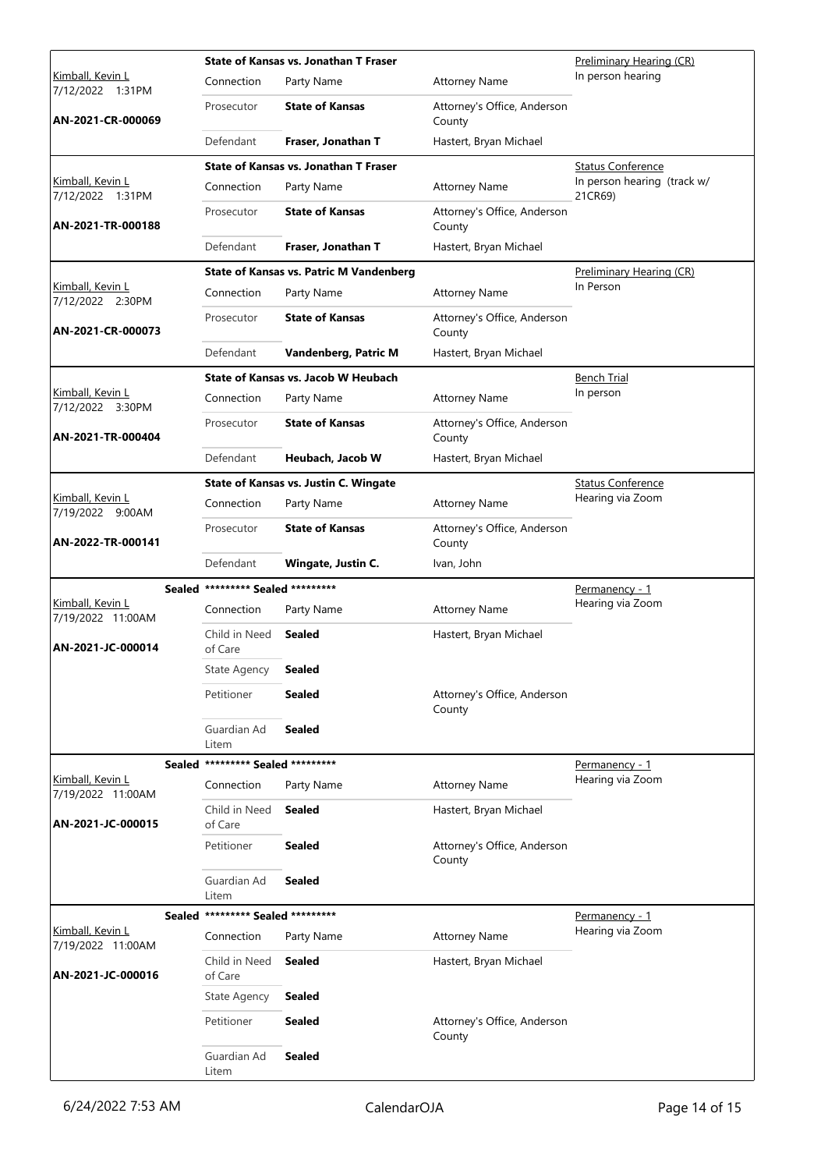|                                       |                                   |                                   | <b>State of Kansas vs. Jonathan T Fraser</b>   | Preliminary Hearing (CR)              |                                        |
|---------------------------------------|-----------------------------------|-----------------------------------|------------------------------------------------|---------------------------------------|----------------------------------------|
| Kimball, Kevin L<br>7/12/2022 1:31PM  |                                   | Connection                        | Party Name                                     | <b>Attorney Name</b>                  | In person hearing                      |
| AN-2021-CR-000069                     |                                   | Prosecutor                        | <b>State of Kansas</b>                         | Attorney's Office, Anderson<br>County |                                        |
|                                       |                                   | Defendant                         | Fraser, Jonathan T                             | Hastert, Bryan Michael                |                                        |
|                                       |                                   |                                   | State of Kansas vs. Jonathan T Fraser          | <b>Status Conference</b>              |                                        |
| Kimball, Kevin L<br>7/12/2022 1:31PM  |                                   | Connection                        | Party Name                                     | <b>Attorney Name</b>                  | In person hearing (track w/<br>21CR69) |
| AN-2021-TR-000188                     |                                   | Prosecutor                        | <b>State of Kansas</b>                         | Attorney's Office, Anderson<br>County |                                        |
|                                       |                                   | Defendant                         | Fraser, Jonathan T                             | Hastert, Bryan Michael                |                                        |
|                                       |                                   |                                   | <b>State of Kansas vs. Patric M Vandenberg</b> | Preliminary Hearing (CR)              |                                        |
| Kimball, Kevin L<br>7/12/2022 2:30PM  |                                   | Connection                        | Party Name                                     | <b>Attorney Name</b>                  | In Person                              |
| AN-2021-CR-000073                     |                                   | Prosecutor                        | <b>State of Kansas</b>                         | Attorney's Office, Anderson<br>County |                                        |
|                                       |                                   | Defendant                         | Vandenberg, Patric M                           | Hastert, Bryan Michael                |                                        |
|                                       |                                   |                                   | State of Kansas vs. Jacob W Heubach            |                                       | Bench Trial                            |
| Kimball, Kevin L<br>7/12/2022 3:30PM  |                                   | Connection                        | Party Name                                     | <b>Attorney Name</b>                  | In person                              |
| AN-2021-TR-000404                     |                                   | Prosecutor                        | <b>State of Kansas</b>                         | Attorney's Office, Anderson<br>County |                                        |
|                                       |                                   | Defendant                         | Heubach, Jacob W                               | Hastert, Bryan Michael                |                                        |
|                                       |                                   |                                   | <b>State of Kansas vs. Justin C. Wingate</b>   |                                       | <b>Status Conference</b>               |
| Kimball, Kevin L<br>7/19/2022 9:00AM  |                                   | Connection                        | Party Name                                     | <b>Attorney Name</b>                  | Hearing via Zoom                       |
| AN-2022-TR-000141                     |                                   | Prosecutor                        | <b>State of Kansas</b>                         | Attorney's Office, Anderson<br>County |                                        |
|                                       |                                   | Defendant                         | Wingate, Justin C.                             | Ivan, John                            |                                        |
|                                       |                                   | Sealed ********* Sealed ********* |                                                |                                       | Permanency - 1                         |
| Kimball, Kevin L<br>7/19/2022 11:00AM |                                   | Connection                        | Party Name                                     | <b>Attorney Name</b>                  | Hearing via Zoom                       |
| AN-2021-JC-000014                     |                                   | Child in Need<br>of Care          | <b>Sealed</b>                                  | Hastert, Bryan Michael                |                                        |
|                                       |                                   | State Agency                      | Sealed                                         |                                       |                                        |
|                                       |                                   | Petitioner                        | <b>Sealed</b>                                  | Attorney's Office, Anderson<br>County |                                        |
|                                       |                                   | Guardian Ad<br>Litem              | <b>Sealed</b>                                  |                                       |                                        |
|                                       |                                   | Sealed ********* Sealed ********* |                                                |                                       | Permanency - 1                         |
| Kimball, Kevin L<br>7/19/2022 11:00AM |                                   | Connection                        | Party Name                                     | <b>Attorney Name</b>                  | Hearing via Zoom                       |
| AN-2021-JC-000015                     |                                   | Child in Need<br>of Care          | <b>Sealed</b>                                  | Hastert, Bryan Michael                |                                        |
|                                       |                                   | Petitioner                        | <b>Sealed</b>                                  | Attorney's Office, Anderson<br>County |                                        |
|                                       |                                   | Guardian Ad<br>Litem              | <b>Sealed</b>                                  |                                       |                                        |
|                                       | Sealed ********* Sealed ********* |                                   |                                                |                                       | Permanency - 1                         |
| Kimball, Kevin L<br>7/19/2022 11:00AM |                                   | Connection                        | Party Name                                     | <b>Attorney Name</b>                  | Hearing via Zoom                       |
| AN-2021-JC-000016                     |                                   | Child in Need<br>of Care          | <b>Sealed</b>                                  | Hastert, Bryan Michael                |                                        |
|                                       |                                   | State Agency                      | Sealed                                         |                                       |                                        |
|                                       |                                   | Petitioner                        | <b>Sealed</b>                                  | Attorney's Office, Anderson           |                                        |
|                                       |                                   |                                   |                                                | County                                |                                        |